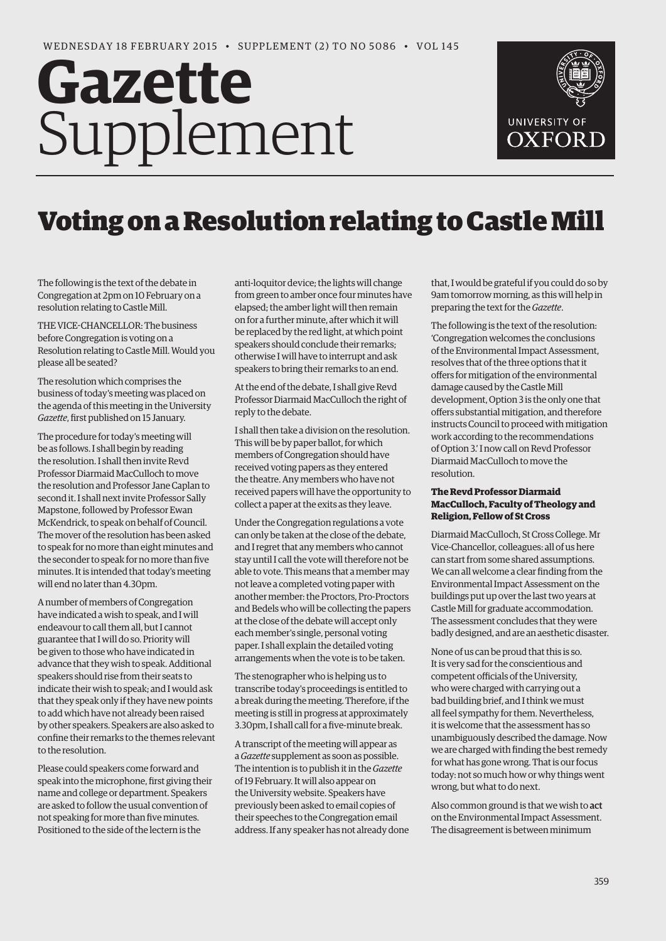# **Gazette** Supplement



# Voting on a Resolution relating to Castle Mill

The following is the text of the debate in Congregation at 2pm on 10 February on a resolution relating to Castle Mill.

THE VICE-CHANCELLOR: The business before Congregation is voting on a Resolution relating to Castle Mill. Would you please all be seated?

The resolution which comprises the business of today's meeting was placed on the agenda of this meeting in the University *Gazette*, first published on 15 January.

The procedure for today's meeting will be as follows. I shall begin by reading the resolution. I shall then invite Revd Professor Diarmaid MacCulloch to move the resolution and Professor Jane Caplan to second it. I shall next invite Professor Sally Mapstone, followed by Professor Ewan McKendrick, to speak on behalf of Council. The mover of the resolution has been asked to speak for no more than eight minutes and the seconder to speak for no more than five minutes. It is intended that today's meeting will end no later than 4.30pm.

A number of members of Congregation have indicated a wish to speak, and I will endeavour to call them all, but I cannot guarantee that I will do so. Priority will be given to those who have indicated in advance that they wish to speak. Additional speakers should rise from their seats to indicate their wish to speak; and I would ask that they speak only if they have new points to add which have not already been raised by other speakers. Speakers are also asked to confine their remarks to the themes relevant to the resolution.

Please could speakers come forward and speak into the microphone, first giving their name and college or department. Speakers are asked to follow the usual convention of not speaking for more than five minutes. Positioned to the side of the lectern is the

anti-loquitor device; the lights will change from green to amber once four minutes have elapsed; the amber light will then remain on for a further minute, after which it will be replaced by the red light, at which point speakers should conclude their remarks; otherwise I will have to interrupt and ask speakers to bring their remarks to an end.

At the end of the debate, I shall give Revd Professor Diarmaid MacCulloch the right of reply to the debate.

I shall then take a division on the resolution. This will be by paper ballot, for which members of Congregation should have received voting papers as they entered the theatre. Any members who have not received papers will have the opportunity to collect a paper at the exits as they leave.

Under the Congregation regulations a vote can only be taken at the close of the debate, and I regret that any members who cannot stay until I call the vote will therefore not be able to vote. This means that a member may not leave a completed voting paper with another member: the Proctors, Pro-Proctors and Bedels who will be collecting the papers at the close of the debate will accept only each member's single, personal voting paper. I shall explain the detailed voting arrangements when the vote is to be taken.

The stenographer who is helping us to transcribe today's proceedings is entitled to a break during the meeting. Therefore, if the meeting is still in progress at approximately 3.30pm, I shall call for a five-minute break.

A transcript of the meeting will appear as a *Gazette* supplement as soon as possible. The intention is to publish it in the *Gazette* of 19 February. It will also appear on the University website. Speakers have previously been asked to email copies of their speeches to the Congregation email address. If any speaker has not already done that, I would be grateful if you could do so by 9am tomorrow morning, as this will help in preparing the text for the *Gazette*.

The following is the text of the resolution: 'Congregation welcomes the conclusions of the Environmental Impact Assessment, resolves that of the three options that it offers for mitigation of the environmental damage caused by the Castle Mill development, Option 3 is the only one that offers substantial mitigation, and therefore instructs Council to proceed with mitigation work according to the recommendations of Option 3.' I now call on Revd Professor Diarmaid MacCulloch to move the resolution.

# **The Revd Professor Diarmaid MacCulloch, Faculty of Theology and Religion, Fellow of St Cross**

Diarmaid MacCulloch, St Cross College. Mr Vice-Chancellor, colleagues: all of us here can start from some shared assumptions. We can all welcome a clear finding from the Environmental Impact Assessment on the buildings put up over the last two years at Castle Mill for graduate accommodation. The assessment concludes that they were badly designed, and are an aesthetic disaster.

None of us can be proud that this is so. It is very sad for the conscientious and competent officials of the University, who were charged with carrying out a bad building brief, and I think we must all feel sympathy for them. Nevertheless, it is welcome that the assessment has so unambiguously described the damage. Now we are charged with finding the best remedy for what has gone wrong. That is our focus today: not so much how or why things went wrong, but what to do next.

Also common ground is that we wish to act on the Environmental Impact Assessment. The disagreement is between minimum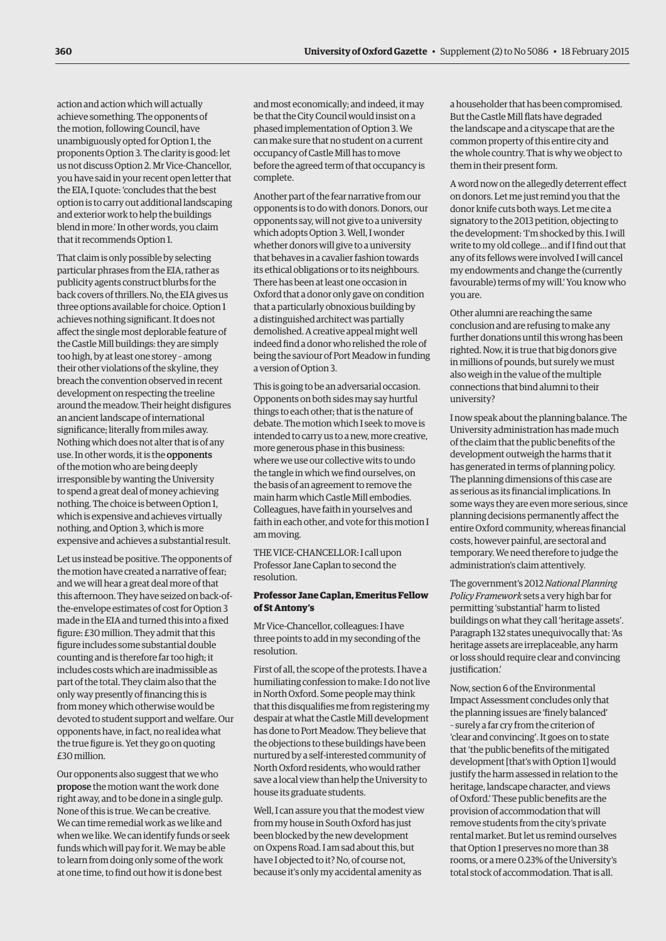action and action which will actually achieve something. The opponents of the motion, following Council, have unambiguously opted for Option 1, the proponents Option 3. The clarity is good: let us not discuss Option 2. Mr Vice-Chancellor, you have said in your recent open letter that the EIA, I quote: 'concludes that the best option is to carry out additional landscaping and exterior work to help the buildings blend in more.' In other words, you claim that it recommends Option 1.

That claim is only possible by selecting particular phrases from the EIA, rather as publicity agents construct blurbs for the back covers of thrillers. No, the EIA gives us three options available for choice. Option 1 achieves nothing significant. It does not affect the single most deplorable feature of the Castle Mill buildings: they are simply too high, by at least one storey – among their other violations of the skyline, they breach the convention observed in recent development on respecting the treeline around the meadow. Their height disfigures an ancient landscape of international significance; literally from miles away. Nothing which does not alter that is of any use. In other words, it is the opponents of the motion who are being deeply irresponsible by wanting the University to spend a great deal of money achieving nothing. The choice is between Option 1, which is expensive and achieves virtually nothing, and Option 3, which is more expensive and achieves a substantial result.

Let us instead be positive. The opponents of the motion have created a narrative of fear; and we will hear a great deal more of that this afternoon. They have seized on back-ofthe-envelope estimates of cost for Option 3 made in the EIA and turned this into a fixed figure: £30 million. They admit that this figure includes some substantial double counting and is therefore far too high; it includes costs which are inadmissible as part of the total. They claim also that the only way presently of financing this is from money which otherwise would be devoted to student support and welfare. Our opponents have, in fact, no real idea what the true figure is. Yet they go on quoting £30 million.

Our opponents also suggest that we who propose the motion want the work done right away, and to be done in a single gulp. None of this is true. We can be creative. We can time remedial work as we like and when we like. We can identify funds or seek funds which will pay for it. We may be able to learn from doing only some of the work at one time, to find out how it is done best

and most economically; and indeed, it may be that the City Council would insist on a phased implementation of Option 3. We can make sure that no student on a current occupancy of Castle Mill has to move before the agreed term of that occupancy is complete.

Another part of the fear narrative from our opponents is to do with donors. Donors, our opponents say, will not give to a university which adopts Option 3. Well, I wonder whether donors will give to a university that behaves in a cavalier fashion towards its ethical obligations or to its neighbours. There has been at least one occasion in Oxford that a donor only gave on condition that a particularly obnoxious building by a distinguished architect was partially demolished. A creative appeal might well indeed find a donor who relished the role of being the saviour of Port Meadow in funding a version of Option 3.

This is going to be an adversarial occasion. Opponents on both sides may say hurtful things to each other; that is the nature of debate. The motion which I seek to move is intended to carry us to a new, more creative, more generous phase in this business: where we use our collective wits to undo the tangle in which we find ourselves, on the basis of an agreement to remove the main harm which Castle Mill embodies. Colleagues, have faith in yourselves and faith in each other, and vote for this motion I am moving.

THE VICE-CHANCELLOR: I call upon Professor Jane Caplan to second the resolution.

#### **Professor Jane Caplan, Emeritus Fellow of St Antony's**

Mr Vice-Chancellor, colleagues: I have three points to add in my seconding of the resolution.

First of all, the scope of the protests. I have a humiliating confession to make: I do not live in North Oxford. Some people may think that this disqualifies me from registering my despair at what the Castle Mill development has done to Port Meadow. They believe that the objections to these buildings have been nurtured by a self-interested community of North Oxford residents, who would rather save a local view than help the University to house its graduate students.

Well, I can assure you that the modest view from my house in South Oxford has just been blocked by the new development on Oxpens Road. I am sad about this, but have I objected to it? No, of course not, because it's only my accidental amenity as

a householder that has been compromised. But the Castle Mill flats have degraded the landscape and a cityscape that are the common property of this entire city and the whole country. That is why we object to them in their present form.

A word now on the allegedly deterrent effect on donors. Let me just remind you that the donor knife cuts both ways. Let me cite a signatory to the 2013 petition, objecting to the development: 'I'm shocked by this. I will write to my old college… and if I find out that any of its fellows were involved I will cancel my endowments and change the (currently favourable) terms of my will.' You know who you are.

Other alumni are reaching the same conclusion and are refusing to make any further donations until this wrong has been righted. Now, it is true that big donors give in millions of pounds, but surely we must also weigh in the value of the multiple connections that bind alumni to their university?

I now speak about the planning balance. The University administration has made much of the claim that the public benefits of the development outweigh the harms that it has generated in terms of planning policy. The planning dimensions of this case are as serious as its financial implications. In some ways they are even more serious, since planning decisions permanently affect the entire Oxford community, whereas financial costs, however painful, are sectoral and temporary. We need therefore to judge the administration's claim attentively.

The government's 2012 *National Planning Policy Framework* sets a very high bar for permitting 'substantial' harm to listed buildings on what they call 'heritage assets'. Paragraph 132 states unequivocally that: 'As heritage assets are irreplaceable, any harm or loss should require clear and convincing justification'

Now, section 6 of the Environmental Impact Assessment concludes only that the planning issues are 'finely balanced' – surely a far cry from the criterion of 'clear and convincing'. It goes on to state that 'the public benefits of the mitigated development [that's with Option 1] would justify the harm assessed in relation to the heritage, landscape character, and views of Oxford.' These public benefits are the provision of accommodation that will remove students from the city's private rental market. But let us remind ourselves that Option 1 preserves no more than 38 rooms, or a mere 0.23% of the University's total stock of accommodation. That is all.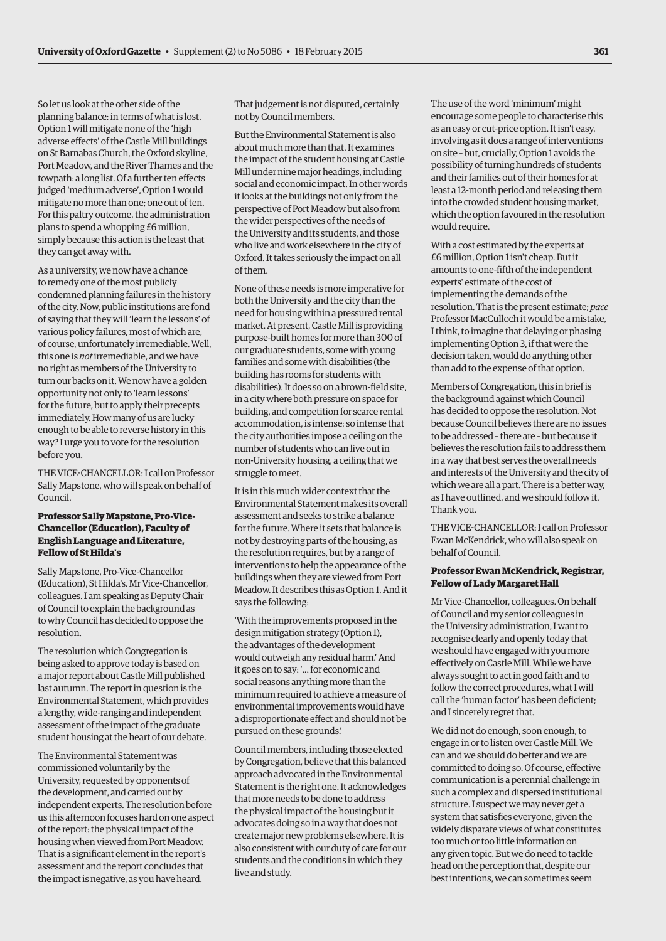So let us look at the other side of the planning balance: in terms of what is lost. Option 1 will mitigate none of the 'high adverse effects' of the Castle Mill buildings on St Barnabas Church, the Oxford skyline, Port Meadow, and the River Thames and the towpath: a long list. Of a further ten effects judged 'medium adverse', Option 1 would mitigate no more than one; one out of ten. For this paltry outcome, the administration plans to spend a whopping £6 million, simply because this action is the least that they can get away with.

As a university, we now have a chance to remedy one of the most publicly condemned planning failures in the history of the city. Now, public institutions are fond of saying that they will 'learn the lessons' of various policy failures, most of which are, of course, unfortunately irremediable. Well, this one is *not* irremediable, and we have no right as members of the University to turn our backs on it. We now have a golden opportunity not only to 'learn lessons' for the future, but to apply their precepts immediately. How many of us are lucky enough to be able to reverse history in this way? I urge you to vote for the resolution before you.

THE VICE-CHANCELLOR: I call on Professor Sally Mapstone, who will speak on behalf of Council.

#### **Professor Sally Mapstone, Pro-Vice-Chancellor (Education), Faculty of English Language and Literature, Fellow of St Hilda's**

Sally Mapstone, Pro-Vice-Chancellor (Education), St Hilda's. Mr Vice-Chancellor, colleagues. I am speaking as Deputy Chair of Council to explain the background as to why Council has decided to oppose the resolution.

The resolution which Congregation is being asked to approve today is based on a major report about Castle Mill published last autumn. The report in question is the Environmental Statement, which provides a lengthy, wide-ranging and independent assessment of the impact of the graduate student housing at the heart of our debate.

The Environmental Statement was commissioned voluntarily by the University, requested by opponents of the development, and carried out by independent experts. The resolution before us this afternoon focuses hard on one aspect of the report: the physical impact of the housing when viewed from Port Meadow. That is a significant element in the report's assessment and the report concludes that the impact is negative, as you have heard.

That judgement is not disputed, certainly not by Council members.

But the Environmental Statement is also about much more than that. It examines the impact of the student housing at Castle Mill under nine major headings, including social and economic impact. In other words it looks at the buildings not only from the perspective of Port Meadow but also from the wider perspectives of the needs of the University and its students, and those who live and work elsewhere in the city of Oxford. It takes seriously the impact on all of them.

None of these needs is more imperative for both the University and the city than the need for housing within a pressured rental market. At present, Castle Mill is providing purpose-built homes for more than 300 of our graduate students, some with young families and some with disabilities (the building has rooms for students with disabilities). It does so on a brown-field site, in a city where both pressure on space for building, and competition for scarce rental accommodation, is intense; so intense that the city authorities impose a ceiling on the number of students who can live out in non-University housing, a ceiling that we struggle to meet.

It is in this much wider context that the Environmental Statement makes its overall assessment and seeks to strike a balance for the future. Where it sets that balance is not by destroying parts of the housing, as the resolution requires, but by a range of interventions to help the appearance of the buildings when they are viewed from Port Meadow. It describes this as Option 1. And it says the following:

'With the improvements proposed in the design mitigation strategy (Option 1), the advantages of the development would outweigh any residual harm.' And it goes on to say: '… for economic and social reasons anything more than the minimum required to achieve a measure of environmental improvements would have a disproportionate effect and should not be pursued on these grounds.'

Council members, including those elected by Congregation, believe that this balanced approach advocated in the Environmental Statement is the right one. It acknowledges that more needs to be done to address the physical impact of the housing but it advocates doing so in a way that does not create major new problems elsewhere. It is also consistent with our duty of care for our students and the conditions in which they live and study.

The use of the word 'minimum' might encourage some people to characterise this as an easy or cut-price option. It isn't easy, involving as it does a range of interventions on site – but, crucially, Option 1 avoids the possibility of turning hundreds of students and their families out of their homes for at least a 12-month period and releasing them into the crowded student housing market, which the option favoured in the resolution would require.

With a cost estimated by the experts at £6 million, Option 1 isn't cheap. But it amounts to one-fifth of the independent experts' estimate of the cost of implementing the demands of the resolution. That is the present estimate; *pace* Professor MacCulloch it would be a mistake, I think, to imagine that delaying or phasing implementing Option 3, if that were the decision taken, would do anything other than add to the expense of that option.

Members of Congregation, this in brief is the background against which Council has decided to oppose the resolution. Not because Council believes there are no issues to be addressed – there are – but because it believes the resolution fails to address them in a way that best serves the overall needs and interests of the University and the city of which we are all a part. There is a better way, as I have outlined, and we should follow it. Thank you.

THE VICE-CHANCELLOR: I call on Professor Ewan McKendrick, who will also speak on behalf of Council.

#### **Professor Ewan McKendrick, Registrar, Fellow of Lady Margaret Hall**

Mr Vice-Chancellor, colleagues. On behalf of Council and my senior colleagues in the University administration, I want to recognise clearly and openly today that we should have engaged with you more effectively on Castle Mill. While we have always sought to act in good faith and to follow the correct procedures, what I will call the 'human factor' has been deficient; and I sincerely regret that.

We did not do enough, soon enough, to engage in or to listen over Castle Mill. We can and we should do better and we are committed to doing so. Of course, effective communication is a perennial challenge in such a complex and dispersed institutional structure. I suspect we may never get a system that satisfies everyone, given the widely disparate views of what constitutes too much or too little information on any given topic. But we do need to tackle head on the perception that, despite our best intentions, we can sometimes seem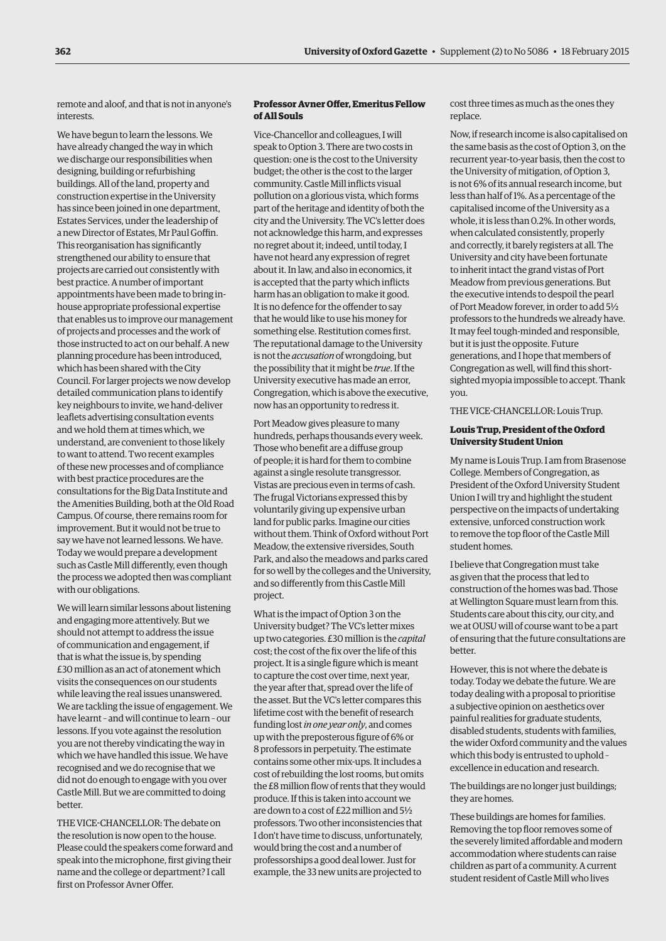remote and aloof, and that is not in anyone's interests.

We have begun to learn the lessons. We have already changed the way in which we discharge our responsibilities when designing, building or refurbishing buildings. All of the land, property and construction expertise in the University has since been joined in one department, Estates Services, under the leadership of a new Director of Estates, Mr Paul Goffin. This reorganisation has significantly strengthened our ability to ensure that projects are carried out consistently with best practice. A number of important appointments have been made to bring inhouse appropriate professional expertise that enables us to improve our management of projects and processes and the work of those instructed to act on our behalf. A new planning procedure has been introduced, which has been shared with the City Council. For larger projects we now develop detailed communication plans to identify key neighbours to invite, we hand-deliver leaflets advertising consultation events and we hold them at times which, we understand, are convenient to those likely to want to attend. Two recent examples of these new processes and of compliance with best practice procedures are the consultations for the Big Data Institute and the Amenities Building, both at the Old Road Campus. Of course, there remains room for improvement. But it would not be true to say we have not learned lessons. We have. Today we would prepare a development such as Castle Mill differently, even though the process we adopted then was compliant with our obligations.

We will learn similar lessons about listening and engaging more attentively. But we should not attempt to address the issue of communication and engagement, if that is what the issue is, by spending £30 million as an act of atonement which visits the consequences on our students while leaving the real issues unanswered. We are tackling the issue of engagement. We have learnt – and will continue to learn – our lessons. If you vote against the resolution you are not thereby vindicating the way in which we have handled this issue. We have recognised and we do recognise that we did not do enough to engage with you over Castle Mill. But we are committed to doing better.

THE VICE-CHANCELLOR: The debate on the resolution is now open to the house. Please could the speakers come forward and speak into the microphone, first giving their name and the college or department? I call first on Professor Avner Offer.

# **Professor Avner Offer, Emeritus Fellow of All Souls**

Vice-Chancellor and colleagues, I will speak to Option 3. There are two costs in question: one is the cost to the University budget; the other is the cost to the larger community. Castle Mill inflicts visual pollution on a glorious vista, which forms part of the heritage and identity of both the city and the University. The VC's letter does not acknowledge this harm, and expresses no regret about it; indeed, until today, I have not heard any expression of regret about it. In law, and also in economics, it is accepted that the party which inflicts harm has an obligation to make it good. It is no defence for the offender to say that he would like to use his money for something else. Restitution comes first. The reputational damage to the University is not the *accusation* of wrongdoing, but the possibility that it might be *true*. If the University executive has made an error, Congregation, which is above the executive, now has an opportunity to redress it.

Port Meadow gives pleasure to many hundreds, perhaps thousands every week. Those who benefit are a diffuse group of people; it is hard for them to combine against a single resolute transgressor. Vistas are precious even in terms of cash. The frugal Victorians expressed this by voluntarily giving up expensive urban land for public parks. Imagine our cities without them. Think of Oxford without Port Meadow, the extensive riversides, South Park, and also the meadows and parks cared for so well by the colleges and the University, and so differently from this Castle Mill project.

What is the impact of Option 3 on the University budget? The VC's letter mixes up two categories. £30 million is the *capital* cost; the cost of the fix over the life of this project. It is a single figure which is meant to capture the cost over time, next year, the year after that, spread over the life of the asset. But the VC's letter compares this lifetime cost with the benefit of research funding lost *in one year only*, and comes up with the preposterous figure of 6% or 8 professors in perpetuity. The estimate contains some other mix-ups. It includes a cost of rebuilding the lost rooms, but omits the £8 million flow of rents that they would produce. If this is taken into account we are down to a cost of £22 million and 5½ professors. Two other inconsistencies that I don't have time to discuss, unfortunately, would bring the cost and a number of professorships a good deal lower. Just for example, the 33 new units are projected to

cost three times as much as the ones they replace.

Now, if research income is also capitalised on the same basis as the cost of Option 3, on the recurrent year-to-year basis, then the cost to the University of mitigation, of Option 3, is not 6% of its annual research income, but less than half of 1%. As a percentage of the capitalised income of the University as a whole, it is less than 0.2%. In other words, when calculated consistently, properly and correctly, it barely registers at all. The University and city have been fortunate to inherit intact the grand vistas of Port Meadow from previous generations. But the executive intends to despoil the pearl of Port Meadow forever, in order to add 5½ professors to the hundreds we already have. It may feel tough-minded and responsible, but it is just the opposite. Future generations, and I hope that members of Congregation as well, will find this shortsighted myopia impossible to accept. Thank you.

THE VICE-CHANCELLOR: Louis Trup.

#### **Louis Trup, President of the Oxford University Student Union**

My name is Louis Trup. I am from Brasenose College. Members of Congregation, as President of the Oxford University Student Union I will try and highlight the student perspective on the impacts of undertaking extensive, unforced construction work to remove the top floor of the Castle Mill student homes.

I believe that Congregation must take as given that the process that led to construction of the homes was bad. Those at Wellington Square must learn from this. Students care about this city, our city, and we at OUSU will of course want to be a part of ensuring that the future consultations are better.

However, this is not where the debate is today. Today we debate the future. We are today dealing with a proposal to prioritise a subjective opinion on aesthetics over painful realities for graduate students, disabled students, students with families, the wider Oxford community and the values which this body is entrusted to uphold – excellence in education and research.

The buildings are no longer just buildings; they are homes.

These buildings are homes for families. Removing the top floor removes some of the severely limited affordable and modern accommodation where students can raise children as part of a community. A current student resident of Castle Mill who lives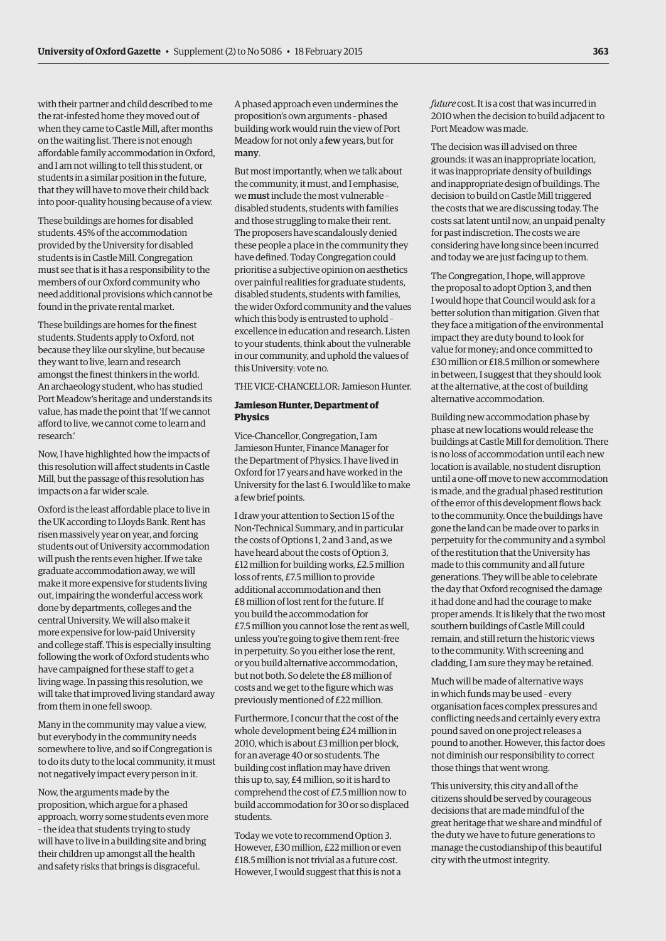with their partner and child described to me the rat-infested home they moved out of when they came to Castle Mill, after months on the waiting list. There is not enough affordable family accommodation in Oxford, and I am not willing to tell this student, or students in a similar position in the future, that they will have to move their child back into poor-quality housing because of a view.

These buildings are homes for disabled students. 45% of the accommodation provided by the University for disabled students is in Castle Mill. Congregation must see that is it has a responsibility to the members of our Oxford community who need additional provisions which cannot be found in the private rental market.

These buildings are homes for the finest students. Students apply to Oxford, not because they like our skyline, but because they want to live, learn and research amongst the finest thinkers in the world. An archaeology student, who has studied Port Meadow's heritage and understands its value, has made the point that 'If we cannot afford to live, we cannot come to learn and research.'

Now, I have highlighted how the impacts of this resolution will affect students in Castle Mill, but the passage of this resolution has impacts on a far wider scale.

Oxford is the least affordable place to live in the UK according to Lloyds Bank. Rent has risen massively year on year, and forcing students out of University accommodation will push the rents even higher. If we take graduate accommodation away, we will make it more expensive for students living out, impairing the wonderful access work done by departments, colleges and the central University. We will also make it more expensive for low-paid University and college staff. This is especially insulting following the work of Oxford students who have campaigned for these staff to get a living wage. In passing this resolution, we will take that improved living standard away from them in one fell swoop.

Many in the community may value a view, but everybody in the community needs somewhere to live, and so if Congregation is to do its duty to the local community, it must not negatively impact every person in it.

Now, the arguments made by the proposition, which argue for a phased approach, worry some students even more – the idea that students trying to study will have to live in a building site and bring their children up amongst all the health and safety risks that brings is disgraceful.

A phased approach even undermines the proposition's own arguments – phased building work would ruin the view of Port Meadow for not only a few years, but for many.

But most importantly, when we talk about the community, it must, and I emphasise, we must include the most vulnerable – disabled students, students with families and those struggling to make their rent. The proposers have scandalously denied these people a place in the community they have defined. Today Congregation could prioritise a subjective opinion on aesthetics over painful realities for graduate students, disabled students, students with families, the wider Oxford community and the values which this body is entrusted to uphold – excellence in education and research. Listen to your students, think about the vulnerable in our community, and uphold the values of this University: vote no.

THE VICE-CHANCELLOR: Jamieson Hunter.

#### **Jamieson Hunter, Department of Physics**

Vice-Chancellor, Congregation, I am Jamieson Hunter, Finance Manager for the Department of Physics. I have lived in Oxford for 17 years and have worked in the University for the last 6. I would like to make a few brief points.

I draw your attention to Section 15 of the Non-Technical Summary, and in particular the costs of Options 1, 2 and 3 and, as we have heard about the costs of Option 3, £12 million for building works, £2.5 million loss of rents, £7.5 million to provide additional accommodation and then £8 million of lost rent for the future. If you build the accommodation for £7.5 million you cannot lose the rent as well, unless you're going to give them rent-free in perpetuity. So you either lose the rent, or you build alternative accommodation, but not both. So delete the £8 million of costs and we get to the figure which was previously mentioned of £22 million.

Furthermore, I concur that the cost of the whole development being £24 million in 2010, which is about £3 million per block, for an average 40 or so students. The building cost inflation may have driven this up to, say, £4 million, so it is hard to comprehend the cost of £7.5 million now to build accommodation for 30 or so displaced students.

Today we vote to recommend Option 3. However, £30 million, £22 million or even £18.5 million is not trivial as a future cost. However, I would suggest that this is not a

*future* cost. It is a cost that was incurred in 2010 when the decision to build adjacent to Port Meadow was made.

The decision was ill advised on three grounds: it was an inappropriate location, it was inappropriate density of buildings and inappropriate design of buildings. The decision to build on Castle Mill triggered the costs that we are discussing today. The costs sat latent until now, an unpaid penalty for past indiscretion. The costs we are considering have long since been incurred and today we are just facing up to them.

The Congregation, I hope, will approve the proposal to adopt Option 3, and then I would hope that Council would ask for a better solution than mitigation. Given that they face a mitigation of the environmental impact they are duty bound to look for value for money; and once committed to £30 million or £18.5 million or somewhere in between, I suggest that they should look at the alternative, at the cost of building alternative accommodation.

Building new accommodation phase by phase at new locations would release the buildings at Castle Mill for demolition. There is no loss of accommodation until each new location is available, no student disruption until a one-off move to new accommodation is made, and the gradual phased restitution of the error of this development flows back to the community. Once the buildings have gone the land can be made over to parks in perpetuity for the community and a symbol of the restitution that the University has made to this community and all future generations. They will be able to celebrate the day that Oxford recognised the damage it had done and had the courage to make proper amends. It is likely that the two most southern buildings of Castle Mill could remain, and still return the historic views to the community. With screening and cladding, I am sure they may be retained.

Much will be made of alternative ways in which funds may be used – every organisation faces complex pressures and conflicting needs and certainly every extra pound saved on one project releases a pound to another. However, this factor does not diminish our responsibility to correct those things that went wrong.

This university, this city and all of the citizens should be served by courageous decisions that are made mindful of the great heritage that we share and mindful of the duty we have to future generations to manage the custodianship of this beautiful city with the utmost integrity.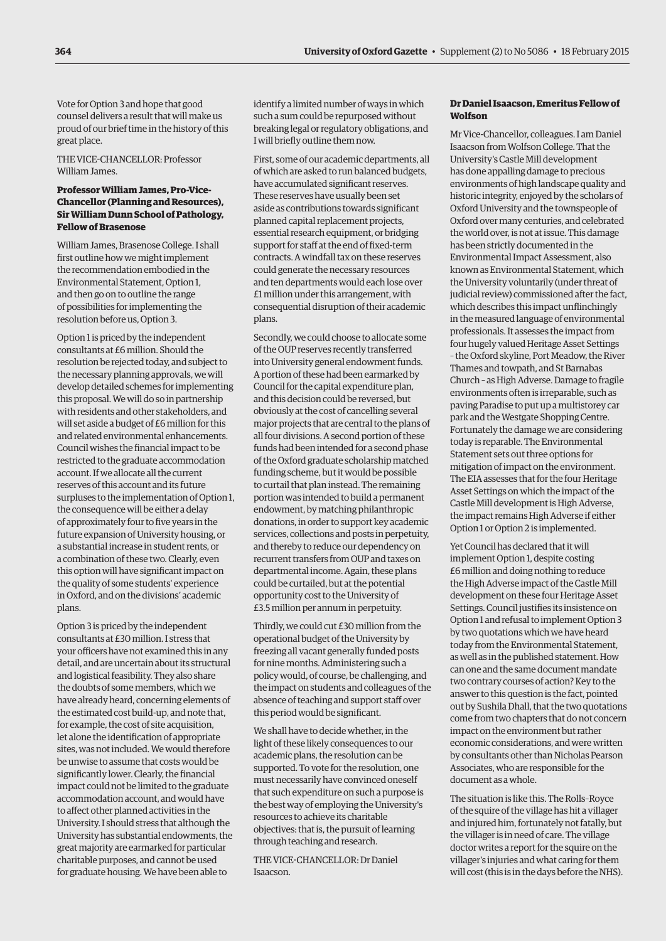Vote for Option 3 and hope that good counsel delivers a result that will make us proud of our brief time in the history of this great place.

THE VICE-CHANCELLOR: Professor William James.

# **Professor William James, Pro-Vice-Chancellor (Planning and Resources), Sir William Dunn School of Pathology, Fellow of Brasenose**

William James, Brasenose College. I shall first outline how we might implement the recommendation embodied in the Environmental Statement, Option 1, and then go on to outline the range of possibilities for implementing the resolution before us, Option 3.

Option 1 is priced by the independent consultants at £6 million. Should the resolution be rejected today, and subject to the necessary planning approvals, we will develop detailed schemes for implementing this proposal. We will do so in partnership with residents and other stakeholders, and will set aside a budget of £6 million for this and related environmental enhancements. Council wishes the financial impact to be restricted to the graduate accommodation account. If we allocate all the current reserves of this account and its future surpluses to the implementation of Option 1, the consequence will be either a delay of approximately four to five years in the future expansion of University housing, or a substantial increase in student rents, or a combination of these two. Clearly, even this option will have significant impact on the quality of some students' experience in Oxford, and on the divisions' academic plans.

Option 3 is priced by the independent consultants at £30 million. I stress that your officers have not examined this in any detail, and are uncertain about its structural and logistical feasibility. They also share the doubts of some members, which we have already heard, concerning elements of the estimated cost build-up, and note that, for example, the cost of site acquisition, let alone the identification of appropriate sites, was not included. We would therefore be unwise to assume that costs would be significantly lower. Clearly, the financial impact could not be limited to the graduate accommodation account, and would have to affect other planned activities in the University. I should stress that although the University has substantial endowments, the great majority are earmarked for particular charitable purposes, and cannot be used for graduate housing. We have been able to

identify a limited number of ways in which such a sum could be repurposed without breaking legal or regulatory obligations, and I will briefly outline them now.

First, some of our academic departments, all of which are asked to run balanced budgets, have accumulated significant reserves. These reserves have usually been set aside as contributions towards significant planned capital replacement projects, essential research equipment, or bridging support for staff at the end of fixed-term contracts. A windfall tax on these reserves could generate the necessary resources and ten departments would each lose over £1 million under this arrangement, with consequential disruption of their academic plans.

Secondly, we could choose to allocate some of the OUP reserves recently transferred into University general endowment funds. A portion of these had been earmarked by Council for the capital expenditure plan, and this decision could be reversed, but obviously at the cost of cancelling several major projects that are central to the plans of all four divisions. A second portion of these funds had been intended for a second phase of the Oxford graduate scholarship matched funding scheme, but it would be possible to curtail that plan instead. The remaining portion was intended to build a permanent endowment, by matching philanthropic donations, in order to support key academic services, collections and posts in perpetuity, and thereby to reduce our dependency on recurrent transfers from OUP and taxes on departmental income. Again, these plans could be curtailed, but at the potential opportunity cost to the University of £3.5 million per annum in perpetuity.

Thirdly, we could cut £30 million from the operational budget of the University by freezing all vacant generally funded posts for nine months. Administering such a policy would, of course, be challenging, and the impact on students and colleagues of the absence of teaching and support staff over this period would be significant.

We shall have to decide whether, in the light of these likely consequences to our academic plans, the resolution can be supported. To vote for the resolution, one must necessarily have convinced oneself that such expenditure on such a purpose is the best way of employing the University's resources to achieve its charitable objectives: that is, the pursuit of learning through teaching and research.

THE VICE-CHANCELLOR: Dr Daniel Isaacson.

# **Dr Daniel Isaacson, Emeritus Fellow of Wolfson**

Mr Vice-Chancellor, colleagues. I am Daniel Isaacson from Wolfson College. That the University's Castle Mill development has done appalling damage to precious environments of high landscape quality and historic integrity, enjoyed by the scholars of Oxford University and the townspeople of Oxford over many centuries, and celebrated the world over, is not at issue. This damage has been strictly documented in the Environmental Impact Assessment, also known as Environmental Statement, which the University voluntarily (under threat of judicial review) commissioned after the fact, which describes this impact unflinchingly in the measured language of environmental professionals. It assesses the impact from four hugely valued Heritage Asset Settings – the Oxford skyline, Port Meadow, the River Thames and towpath, and St Barnabas Church – as High Adverse. Damage to fragile environments often is irreparable, such as paving Paradise to put up a multistorey car park and the Westgate Shopping Centre. Fortunately the damage we are considering today is reparable. The Environmental Statement sets out three options for mitigation of impact on the environment. The EIA assesses that for the four Heritage Asset Settings on which the impact of the Castle Mill development is High Adverse, the impact remains High Adverse if either Option 1 or Option 2 is implemented.

Yet Council has declared that it will implement Option 1, despite costing £6 million and doing nothing to reduce the High Adverse impact of the Castle Mill development on these four Heritage Asset Settings. Council justifies its insistence on Option 1 and refusal to implement Option 3 by two quotations which we have heard today from the Environmental Statement, as well as in the published statement. How can one and the same document mandate two contrary courses of action? Key to the answer to this question is the fact, pointed out by Sushila Dhall, that the two quotations come from two chapters that do not concern impact on the environment but rather economic considerations, and were written by consultants other than Nicholas Pearson Associates, who are responsible for the document as a whole.

The situation is like this. The Rolls–Royce of the squire of the village has hit a villager and injured him, fortunately not fatally, but the villager is in need of care. The village doctor writes a report for the squire on the villager's injuries and what caring for them will cost (this is in the days before the NHS).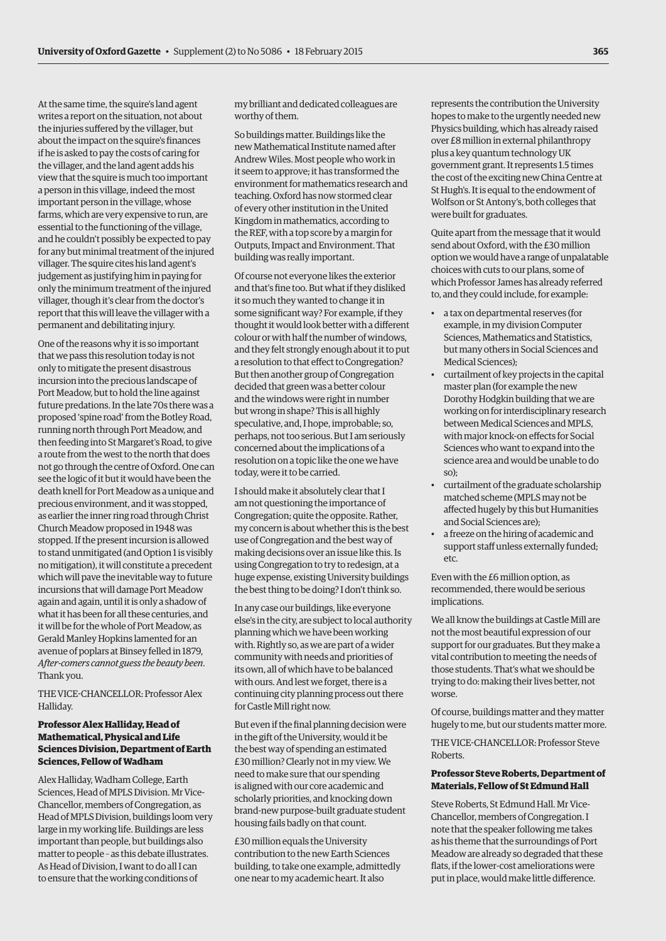At the same time, the squire's land agent writes a report on the situation, not about the injuries suffered by the villager, but about the impact on the squire's finances if he is asked to pay the costs of caring for the villager, and the land agent adds his view that the squire is much too important a person in this village, indeed the most important person in the village, whose farms, which are very expensive to run, are essential to the functioning of the village, and he couldn't possibly be expected to pay for any but minimal treatment of the injured villager. The squire cites his land agent's judgement as justifying him in paying for only the minimum treatment of the injured villager, though it's clear from the doctor's report that this will leave the villager with a permanent and debilitating injury.

One of the reasons why it is so important that we pass this resolution today is not only to mitigate the present disastrous incursion into the precious landscape of Port Meadow, but to hold the line against future predations. In the late 70s there was a proposed 'spine road' from the Botley Road, running north through Port Meadow, and then feeding into St Margaret's Road, to give a route from the west to the north that does not go through the centre of Oxford. One can see the logic of it but it would have been the death knell for Port Meadow as a unique and precious environment, and it was stopped, as earlier the inner ring road through Christ Church Meadow proposed in 1948 was stopped. If the present incursion is allowed to stand unmitigated (and Option 1 is visibly no mitigation), it will constitute a precedent which will pave the inevitable way to future incursions that will damage Port Meadow again and again, until it is only a shadow of what it has been for all these centuries, and it will be for the whole of Port Meadow, as Gerald Manley Hopkins lamented for an avenue of poplars at Binsey felled in 1879, *After-comers cannot guess the beauty been*. Thank you.

THE VICE-CHANCELLOR: Professor Alex Halliday.

### **Professor Alex Halliday, Head of Mathematical, Physical and Life Sciences Division, Department of Earth Sciences, Fellow of Wadham**

Alex Halliday, Wadham College, Earth Sciences, Head of MPLS Division. Mr Vice-Chancellor, members of Congregation, as Head of MPLS Division, buildings loom very large in my working life. Buildings are less important than people, but buildings also matter to people – as this debate illustrates. As Head of Division, I want to do all I can to ensure that the working conditions of

my brilliant and dedicated colleagues are worthy of them.

So buildings matter. Buildings like the new Mathematical Institute named after Andrew Wiles. Most people who work in it seem to approve; it has transformed the environment for mathematics research and teaching. Oxford has now stormed clear of every other institution in the United Kingdom in mathematics, according to the REF, with a top score by a margin for Outputs, Impact and Environment. That building was really important.

Of course not everyone likes the exterior and that's fine too. But what if they disliked it so much they wanted to change it in some significant way? For example, if they thought it would look better with a different colour or with half the number of windows, and they felt strongly enough about it to put a resolution to that effect to Congregation? But then another group of Congregation decided that green was a better colour and the windows were right in number but wrong in shape? This is all highly speculative, and, I hope, improbable; so, perhaps, not too serious. But I am seriously concerned about the implications of a resolution on a topic like the one we have today, were it to be carried.

I should make it absolutely clear that I am not questioning the importance of Congregation; quite the opposite. Rather, my concern is about whether this is the best use of Congregation and the best way of making decisions over an issue like this. Is using Congregation to try to redesign, at a huge expense, existing University buildings the best thing to be doing? I don't think so.

In any case our buildings, like everyone else's in the city, are subject to local authority planning which we have been working with. Rightly so, as we are part of a wider community with needs and priorities of its own, all of which have to be balanced with ours. And lest we forget, there is a continuing city planning process out there for Castle Mill right now.

But even if the final planning decision were in the gift of the University, would it be the best way of spending an estimated £30 million? Clearly not in my view. We need to make sure that our spending is aligned with our core academic and scholarly priorities, and knocking down brand-new purpose-built graduate student housing fails badly on that count.

£30 million equals the University contribution to the new Earth Sciences building, to take one example, admittedly one near to my academic heart. It also

represents the contribution the University hopes to make to the urgently needed new Physics building, which has already raised over £8 million in external philanthropy plus a key quantum technology UK government grant. It represents 1.5 times the cost of the exciting new China Centre at St Hugh's. It is equal to the endowment of Wolfson or St Antony's, both colleges that were built for graduates.

Quite apart from the message that it would send about Oxford, with the £30 million option we would have a range of unpalatable choices with cuts to our plans, some of which Professor James has already referred to, and they could include, for example:

- a tax on departmental reserves (for example, in my division Computer Sciences, Mathematics and Statistics, but many others in Social Sciences and Medical Sciences);
- curtailment of key projects in the capital master plan (for example the new Dorothy Hodgkin building that we are working on for interdisciplinary research between Medical Sciences and MPLS, with major knock-on effects for Social Sciences who want to expand into the science area and would be unable to do so);
- curtailment of the graduate scholarship matched scheme (MPLS may not be affected hugely by this but Humanities and Social Sciences are);
- a freeze on the hiring of academic and support staff unless externally funded; etc.

Even with the £6 million option, as recommended, there would be serious implications.

We all know the buildings at Castle Mill are not the most beautiful expression of our support for our graduates. But they make a vital contribution to meeting the needs of those students. That's what we should be trying to do: making their lives better, not worse.

Of course, buildings matter and they matter hugely to me, but our students matter more.

THE VICE-CHANCELLOR: Professor Steve Roberts.

#### **Professor Steve Roberts, Department of Materials, Fellow of St Edmund Hall**

Steve Roberts, St Edmund Hall. Mr Vice-Chancellor, members of Congregation. I note that the speaker following me takes as his theme that the surroundings of Port Meadow are already so degraded that these flats, if the lower-cost ameliorations were put in place, would make little difference.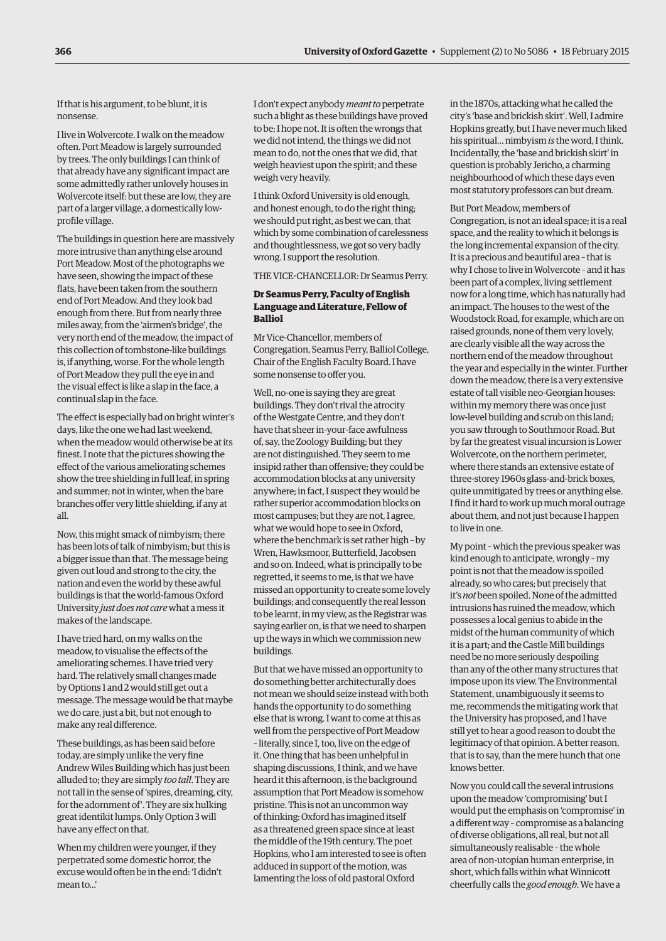If that is his argument, to be blunt, it is nonsense.

I live in Wolvercote. I walk on the meadow often. Port Meadow is largely surrounded by trees. The only buildings I can think of that already have any significant impact are some admittedly rather unlovely houses in Wolvercote itself: but these are low, they are part of a larger village, a domestically lowprofile village.

The buildings in question here are massively more intrusive than anything else around Port Meadow. Most of the photographs we have seen, showing the impact of these flats, have been taken from the southern end of Port Meadow. And they look bad enough from there. But from nearly three miles away, from the 'airmen's bridge', the very north end of the meadow, the impact of this collection of tombstone-like buildings is, if anything, worse. For the whole length of Port Meadow they pull the eye in and the visual effect is like a slap in the face, a continual slap in the face.

The effect is especially bad on bright winter's days, like the one we had last weekend, when the meadow would otherwise be at its finest. I note that the pictures showing the effect of the various ameliorating schemes show the tree shielding in full leaf, in spring and summer; not in winter, when the bare branches offer very little shielding, if any at all.

Now, this might smack of nimbyism; there has been lots of talk of nimbyism; but this is a bigger issue than that. The message being given out loud and strong to the city, the nation and even the world by these awful buildings is that the world-famous Oxford University *just does not care* what a mess it makes of the landscape.

I have tried hard, on my walks on the meadow, to visualise the effects of the ameliorating schemes. I have tried very hard. The relatively small changes made by Options 1 and 2 would still get out a message. The message would be that maybe we do care, just a bit, but not enough to make any real difference.

These buildings, as has been said before today, are simply unlike the very fine Andrew Wiles Building which has just been alluded to; they are simply *too tall*. They are not tall in the sense of 'spires, dreaming, city, for the adornment of'. They are six hulking great identikit lumps. Only Option 3 will have any effect on that.

When my children were younger, if they perpetrated some domestic horror, the excuse would often be in the end: 'I didn't mean to.<sup>1</sup>

I don't expect anybody *meant to* perpetrate such a blight as these buildings have proved to be; I hope not. It is often the wrongs that we did not intend, the things we did not mean to do, not the ones that we did, that weigh heaviest upon the spirit; and these weigh very heavily.

I think Oxford University is old enough, and honest enough, to do the right thing; we should put right, as best we can, that which by some combination of carelessness and thoughtlessness, we got so very badly wrong. I support the resolution.

THE VICE-CHANCELLOR: Dr Seamus Perry.

# **Dr Seamus Perry, Faculty of English Language and Literature, Fellow of Balliol**

Mr Vice-Chancellor, members of Congregation, Seamus Perry, Balliol College, Chair of the English Faculty Board. I have some nonsense to offer you.

Well, no-one is saying they are great buildings. They don't rival the atrocity of the Westgate Centre, and they don't have that sheer in-your-face awfulness of, say, the Zoology Building; but they are not distinguished. They seem to me insipid rather than offensive; they could be accommodation blocks at any university anywhere; in fact, I suspect they would be rather superior accommodation blocks on most campuses; but they are not, I agree, what we would hope to see in Oxford, where the benchmark is set rather high – by Wren, Hawksmoor, Butterfield, Jacobsen and so on. Indeed, what is principally to be regretted, it seems to me, is that we have missed an opportunity to create some lovely buildings; and consequently the real lesson to be learnt, in my view, as the Registrar was saying earlier on, is that we need to sharpen up the ways in which we commission new buildings.

But that we have missed an opportunity to do something better architecturally does not mean we should seize instead with both hands the opportunity to do something else that is wrong. I want to come at this as well from the perspective of Port Meadow – literally, since I, too, live on the edge of it. One thing that has been unhelpful in shaping discussions, I think, and we have heard it this afternoon, is the background assumption that Port Meadow is somehow pristine. This is not an uncommon way of thinking: Oxford has imagined itself as a threatened green space since at least the middle of the 19th century. The poet Hopkins, who I am interested to see is often adduced in support of the motion, was lamenting the loss of old pastoral Oxford

in the 1870s, attacking what he called the city's 'base and brickish skirt'. Well, I admire Hopkins greatly, but I have never much liked his spiritual… nimbyism *is* the word, I think. Incidentally, the 'base and brickish skirt' in question is probably Jericho, a charming neighbourhood of which these days even most statutory professors can but dream.

#### But Port Meadow, members of

Congregation, is not an ideal space; it is a real space, and the reality to which it belongs is the long incremental expansion of the city. It is a precious and beautiful area – that is why I chose to live in Wolvercote – and it has been part of a complex, living settlement now for a long time, which has naturally had an impact. The houses to the west of the Woodstock Road, for example, which are on raised grounds, none of them very lovely, are clearly visible all the way across the northern end of the meadow throughout the year and especially in the winter. Further down the meadow, there is a very extensive estate of tall visible neo-Georgian houses: within my memory there was once just low-level building and scrub on this land; you saw through to Southmoor Road. But by far the greatest visual incursion is Lower Wolvercote, on the northern perimeter, where there stands an extensive estate of three-storey 1960s glass-and-brick boxes, quite unmitigated by trees or anything else. I find it hard to work up much moral outrage about them, and not just because I happen to live in one.

My point – which the previous speaker was kind enough to anticipate, wrongly – my point is not that the meadow is spoiled already, so who cares; but precisely that it's *not* been spoiled. None of the admitted intrusions has ruined the meadow, which possesses a local genius to abide in the midst of the human community of which it is a part; and the Castle Mill buildings need be no more seriously despoiling than any of the other many structures that impose upon its view. The Environmental Statement, unambiguously it seems to me, recommends the mitigating work that the University has proposed, and I have still yet to hear a good reason to doubt the legitimacy of that opinion. A better reason, that is to say, than the mere hunch that one knows better.

Now you could call the several intrusions upon the meadow 'compromising' but I would put the emphasis on 'compromise' in a different way – compromise as a balancing of diverse obligations, all real, but not all simultaneously realisable – the whole area of non-utopian human enterprise, in short, which falls within what Winnicott cheerfully calls the *good enough*. We have a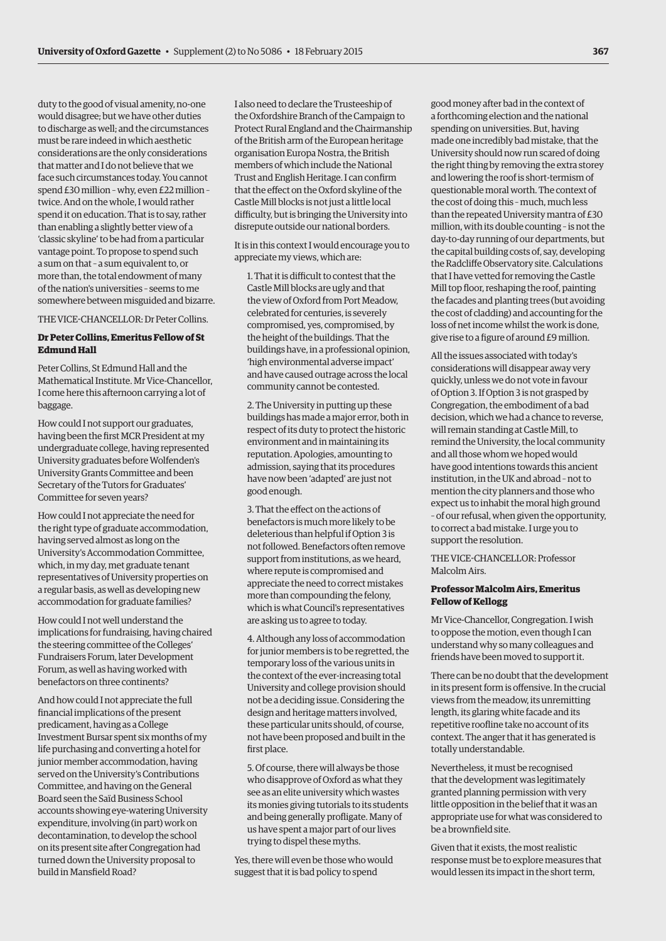duty to the good of visual amenity, no-one would disagree; but we have other duties to discharge as well; and the circumstances must be rare indeed in which aesthetic considerations are the only considerations that matter and I do not believe that we face such circumstances today. You cannot spend £30 million – why, even £22 million – twice. And on the whole, I would rather spend it on education. That is to say, rather than enabling a slightly better view of a 'classic skyline' to be had from a particular vantage point. To propose to spend such a sum on that – a sum equivalent to, or more than, the total endowment of many of the nation's universities – seems to me somewhere between misguided and bizarre.

THE VICE-CHANCELLOR: Dr Peter Collins.

# **Dr Peter Collins, Emeritus Fellow of St Edmund Hall**

Peter Collins, St Edmund Hall and the Mathematical Institute. Mr Vice-Chancellor, I come here this afternoon carrying a lot of baggage.

How could I not support our graduates, having been the first MCR President at my undergraduate college, having represented University graduates before Wolfenden's University Grants Committee and been Secretary of the Tutors for Graduates' Committee for seven years?

How could I not appreciate the need for the right type of graduate accommodation, having served almost as long on the University's Accommodation Committee, which, in my day, met graduate tenant representatives of University properties on a regular basis, as well as developing new accommodation for graduate families?

How could I not well understand the implications for fundraising, having chaired the steering committee of the Colleges' Fundraisers Forum, later Development Forum, as well as having worked with benefactors on three continents?

And how could I not appreciate the full financial implications of the present predicament, having as a College Investment Bursar spent six months of my life purchasing and converting a hotel for junior member accommodation, having served on the University's Contributions Committee, and having on the General Board seen the Saïd Business School accounts showing eye-watering University expenditure, involving (in part) work on decontamination, to develop the school on its present site after Congregation had turned down the University proposal to build in Mansfield Road?

I also need to declare the Trusteeship of the Oxfordshire Branch of the Campaign to Protect Rural England and the Chairmanship of the British arm of the European heritage organisation Europa Nostra, the British members of which include the National Trust and English Heritage. I can confirm that the effect on the Oxford skyline of the Castle Mill blocks is not just a little local difficulty, but is bringing the University into disrepute outside our national borders.

It is in this context I would encourage you to appreciate my views, which are:

1. That it is difficult to contest that the Castle Mill blocks are ugly and that the view of Oxford from Port Meadow, celebrated for centuries, is severely compromised, yes, compromised, by the height of the buildings. That the buildings have, in a professional opinion, 'high environmental adverse impact' and have caused outrage across the local community cannot be contested.

2. The University in putting up these buildings has made a major error, both in respect of its duty to protect the historic environment and in maintaining its reputation. Apologies, amounting to admission, saying that its procedures have now been 'adapted' are just not good enough.

3. That the effect on the actions of benefactors is much more likely to be deleterious than helpful if Option 3 is not followed. Benefactors often remove support from institutions, as we heard, where repute is compromised and appreciate the need to correct mistakes more than compounding the felony, which is what Council's representatives are asking us to agree to today.

4. Although any loss of accommodation for junior members is to be regretted, the temporary loss of the various units in the context of the ever-increasing total University and college provision should not be a deciding issue. Considering the design and heritage matters involved, these particular units should, of course, not have been proposed and built in the first place.

5. Of course, there will always be those who disapprove of Oxford as what they see as an elite university which wastes its monies giving tutorials to its students and being generally profligate. Many of us have spent a major part of our lives trying to dispel these myths.

Yes, there will even be those who would suggest that it is bad policy to spend

good money after bad in the context of a forthcoming election and the national spending on universities. But, having made one incredibly bad mistake, that the University should now run scared of doing the right thing by removing the extra storey and lowering the roof is short-termism of questionable moral worth. The context of the cost of doing this – much, much less than the repeated University mantra of £30 million, with its double counting – is not the day-to-day running of our departments, but the capital building costs of, say, developing the Radcliffe Observatory site. Calculations that I have vetted for removing the Castle Mill top floor, reshaping the roof, painting the facades and planting trees (but avoiding the cost of cladding) and accounting for the loss of net income whilst the work is done, give rise to a figure of around £9 million.

All the issues associated with today's considerations will disappear away very quickly, unless we do not vote in favour of Option 3. If Option 3 is not grasped by Congregation, the embodiment of a bad decision, which we had a chance to reverse, will remain standing at Castle Mill, to remind the University, the local community and all those whom we hoped would have good intentions towards this ancient institution, in the UK and abroad – not to mention the city planners and those who expect us to inhabit the moral high ground – of our refusal, when given the opportunity, to correct a bad mistake. I urge you to support the resolution.

THE VICE-CHANCELLOR: Professor Malcolm Airs.

#### **Professor Malcolm Airs, Emeritus Fellow of Kellogg**

Mr Vice-Chancellor, Congregation. I wish to oppose the motion, even though I can understand why so many colleagues and friends have been moved to support it.

There can be no doubt that the development in its present form is offensive. In the crucial views from the meadow, its unremitting length, its glaring white facade and its repetitive roofline take no account of its context. The anger that it has generated is totally understandable.

Nevertheless, it must be recognised that the development was legitimately granted planning permission with very little opposition in the belief that it was an appropriate use for what was considered to be a brownfield site.

Given that it exists, the most realistic response must be to explore measures that would lessen its impact in the short term,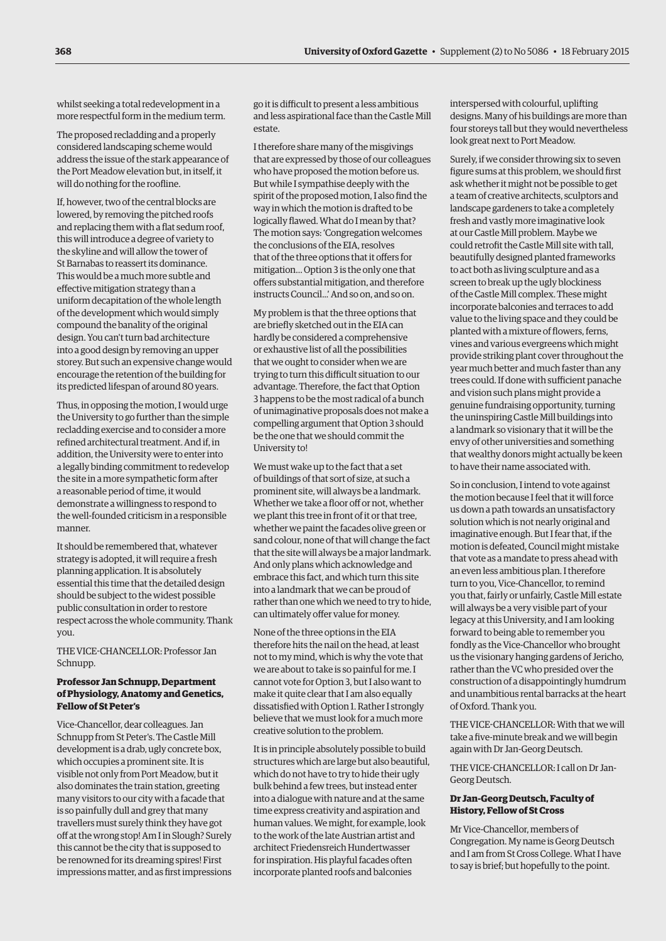whilst seeking a total redevelopment in a more respectful form in the medium term.

The proposed recladding and a properly considered landscaping scheme would address the issue of the stark appearance of the Port Meadow elevation but, in itself, it will do nothing for the roofline.

If, however, two of the central blocks are lowered, by removing the pitched roofs and replacing them with a flat sedum roof, this will introduce a degree of variety to the skyline and will allow the tower of St Barnabas to reassert its dominance. This would be a much more subtle and effective mitigation strategy than a uniform decapitation of the whole length of the development which would simply compound the banality of the original design. You can't turn bad architecture into a good design by removing an upper storey. But such an expensive change would encourage the retention of the building for its predicted lifespan of around 80 years.

Thus, in opposing the motion, I would urge the University to go further than the simple recladding exercise and to consider a more refined architectural treatment. And if, in addition, the University were to enter into a legally binding commitment to redevelop the site in a more sympathetic form after a reasonable period of time, it would demonstrate a willingness to respond to the well-founded criticism in a responsible manner.

It should be remembered that, whatever strategy is adopted, it will require a fresh planning application. It is absolutely essential this time that the detailed design should be subject to the widest possible public consultation in order to restore respect across the whole community. Thank you.

THE VICE-CHANCELLOR: Professor Jan Schnupp.

#### **Professor Jan Schnupp, Department of Physiology, Anatomy and Genetics, Fellow of St Peter's**

Vice-Chancellor, dear colleagues. Jan Schnupp from St Peter's. The Castle Mill development is a drab, ugly concrete box, which occupies a prominent site. It is visible not only from Port Meadow, but it also dominates the train station, greeting many visitors to our city with a facade that is so painfully dull and grey that many travellers must surely think they have got off at the wrong stop! Am I in Slough? Surely this cannot be the city that is supposed to be renowned for its dreaming spires! First impressions matter, and as first impressions

go it is difficult to present a less ambitious and less aspirational face than the Castle Mill estate.

I therefore share many of the misgivings that are expressed by those of our colleagues who have proposed the motion before us. But while I sympathise deeply with the spirit of the proposed motion, I also find the way in which the motion is drafted to be logically flawed. What do I mean by that? The motion says: 'Congregation welcomes the conclusions of the EIA, resolves that of the three options that it offers for mitigation… Option 3 is the only one that offers substantial mitigation, and therefore instructs Council...' And so on, and so on.

My problem is that the three options that are briefly sketched out in the EIA can hardly be considered a comprehensive or exhaustive list of all the possibilities that we ought to consider when we are trying to turn this difficult situation to our advantage. Therefore, the fact that Option 3 happens to be the most radical of a bunch of unimaginative proposals does not make a compelling argument that Option 3 should be the one that we should commit the University to!

We must wake up to the fact that a set of buildings of that sort of size, at such a prominent site, will always be a landmark. Whether we take a floor off or not, whether we plant this tree in front of it or that tree, whether we paint the facades olive green or sand colour, none of that will change the fact that the site will always be a major landmark. And only plans which acknowledge and embrace this fact, and which turn this site into a landmark that we can be proud of rather than one which we need to try to hide, can ultimately offer value for money.

None of the three options in the EIA therefore hits the nail on the head, at least not to my mind, which is why the vote that we are about to take is so painful for me. I cannot vote for Option 3, but I also want to make it quite clear that I am also equally dissatisfied with Option 1. Rather I strongly believe that we must look for a much more creative solution to the problem.

It is in principle absolutely possible to build structures which are large but also beautiful, which do not have to try to hide their ugly bulk behind a few trees, but instead enter into a dialogue with nature and at the same time express creativity and aspiration and human values. We might, for example, look to the work of the late Austrian artist and architect Friedensreich Hundertwasser for inspiration. His playful facades often incorporate planted roofs and balconies

interspersed with colourful, uplifting designs. Many of his buildings are more than four storeys tall but they would nevertheless look great next to Port Meadow.

Surely, if we consider throwing six to seven figure sums at this problem, we should first ask whether it might not be possible to get a team of creative architects, sculptors and landscape gardeners to take a completely fresh and vastly more imaginative look at our Castle Mill problem. Maybe we could retrofit the Castle Mill site with tall, beautifully designed planted frameworks to act both as living sculpture and as a screen to break up the ugly blockiness of the Castle Mill complex. These might incorporate balconies and terraces to add value to the living space and they could be planted with a mixture of flowers, ferns, vines and various evergreens which might provide striking plant cover throughout the year much better and much faster than any trees could. If done with sufficient panache and vision such plans might provide a genuine fundraising opportunity, turning the uninspiring Castle Mill buildings into a landmark so visionary that it will be the envy of other universities and something that wealthy donors might actually be keen to have their name associated with.

So in conclusion, I intend to vote against the motion because I feel that it will force us down a path towards an unsatisfactory solution which is not nearly original and imaginative enough. But I fear that, if the motion is defeated, Council might mistake that vote as a mandate to press ahead with an even less ambitious plan. I therefore turn to you, Vice-Chancellor, to remind you that, fairly or unfairly, Castle Mill estate will always be a very visible part of your legacy at this University, and I am looking forward to being able to remember you fondly as the Vice-Chancellor who brought us the visionary hanging gardens of Jericho, rather than the VC who presided over the construction of a disappointingly humdrum and unambitious rental barracks at the heart of Oxford. Thank you.

THE VICE-CHANCELLOR: With that we will take a five-minute break and we will begin again with Dr Jan-Georg Deutsch.

THE VICE-CHANCELLOR: I call on Dr Jan-Georg Deutsch.

#### **Dr Jan-Georg Deutsch, Faculty of History, Fellow of St Cross**

Mr Vice-Chancellor, members of Congregation. My name is Georg Deutsch and I am from St Cross College. What I have to say is brief; but hopefully to the point.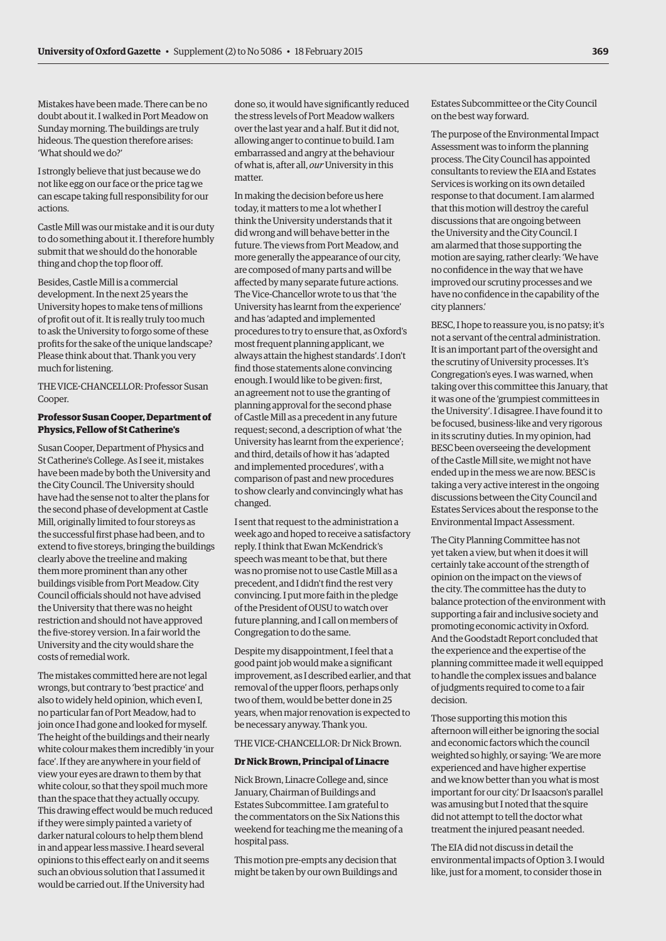Mistakes have been made. There can be no doubt about it. I walked in Port Meadow on Sunday morning. The buildings are truly hideous. The question therefore arises: 'What should we do?'

I strongly believe that just because we do not like egg on our face or the price tag we can escape taking full responsibility for our actions.

Castle Mill was our mistake and it is our duty to do something about it. I therefore humbly submit that we should do the honorable thing and chop the top floor off.

Besides, Castle Mill is a commercial development. In the next 25 years the University hopes to make tens of millions of profit out of it. It is really truly too much to ask the University to forgo some of these profits for the sake of the unique landscape? Please think about that. Thank you very much for listening.

THE VICE-CHANCELLOR: Professor Susan Cooper.

#### **Professor Susan Cooper, Department of Physics, Fellow of St Catherine's**

Susan Cooper, Department of Physics and St Catherine's College. As I see it, mistakes have been made by both the University and the City Council. The University should have had the sense not to alter the plans for the second phase of development at Castle Mill, originally limited to four storeys as the successful first phase had been, and to extend to five storeys, bringing the buildings clearly above the treeline and making them more prominent than any other buildings visible from Port Meadow. City Council officials should not have advised the University that there was no height restriction and should not have approved the five-storey version. In a fair world the University and the city would share the costs of remedial work.

The mistakes committed here are not legal wrongs, but contrary to 'best practice' and also to widely held opinion, which even I, no particular fan of Port Meadow, had to join once I had gone and looked for myself. The height of the buildings and their nearly white colour makes them incredibly 'in your face'. If they are anywhere in your field of view your eyes are drawn to them by that white colour, so that they spoil much more than the space that they actually occupy. This drawing effect would be much reduced if they were simply painted a variety of darker natural colours to help them blend in and appear less massive. I heard several opinions to this effect early on and it seems such an obvious solution that I assumed it would be carried out. If the University had

done so, it would have significantly reduced the stress levels of Port Meadow walkers over the last year and a half. But it did not, allowing anger to continue to build. I am embarrassed and angry at the behaviour of what is, after all, *our*University in this matter.

In making the decision before us here today, it matters to me a lot whether I think the University understands that it did wrong and will behave better in the future. The views from Port Meadow, and more generally the appearance of our city, are composed of many parts and will be affected by many separate future actions. The Vice-Chancellor wrote to us that 'the University has learnt from the experience' and has 'adapted and implemented procedures to try to ensure that, as Oxford's most frequent planning applicant, we always attain the highest standards'. I don't find those statements alone convincing enough. I would like to be given: first, an agreement not to use the granting of planning approval for the second phase of Castle Mill as a precedent in any future request; second, a description of what 'the University has learnt from the experience'; and third, details of how it has 'adapted and implemented procedures', with a comparison of past and new procedures to show clearly and convincingly what has changed.

I sent that request to the administration a week ago and hoped to receive a satisfactory reply. I think that Ewan McKendrick's speech was meant to be that, but there was no promise not to use Castle Mill as a precedent, and I didn't find the rest very convincing. I put more faith in the pledge of the President of OUSU to watch over future planning, and I call on members of Congregation to do the same.

Despite my disappointment, I feel that a good paint job would make a significant improvement, as I described earlier, and that removal of the upper floors, perhaps only two of them, would be better done in 25 years, when major renovation is expected to be necessary anyway. Thank you.

THE VICE-CHANCELLOR: Dr Nick Brown.

#### **Dr Nick Brown, Principal of Linacre**

Nick Brown, Linacre College and, since January, Chairman of Buildings and Estates Subcommittee. I am grateful to the commentators on the Six Nations this weekend for teaching me the meaning of a hospital pass.

This motion pre-empts any decision that might be taken by our own Buildings and Estates Subcommittee or the City Council on the best way forward.

The purpose of the Environmental Impact Assessment was to inform the planning process. The City Council has appointed consultants to review the EIA and Estates Services is working on its own detailed response to that document. I am alarmed that this motion will destroy the careful discussions that are ongoing between the University and the City Council. I am alarmed that those supporting the motion are saying, rather clearly: 'We have no confidence in the way that we have improved our scrutiny processes and we have no confidence in the capability of the city planners.'

BESC, I hope to reassure you, is no patsy; it's not a servant of the central administration. It is an important part of the oversight and the scrutiny of University processes. It's Congregation's eyes. I was warned, when taking over this committee this January, that it was one of the 'grumpiest committees in the University'. I disagree. I have found it to be focused, business-like and very rigorous in its scrutiny duties. In my opinion, had BESC been overseeing the development of the Castle Mill site, we might not have ended up in the mess we are now. BESC is taking a very active interest in the ongoing discussions between the City Council and Estates Services about the response to the Environmental Impact Assessment.

The City Planning Committee has not yet taken a view, but when it does it will certainly take account of the strength of opinion on the impact on the views of the city. The committee has the duty to balance protection of the environment with supporting a fair and inclusive society and promoting economic activity in Oxford. And the Goodstadt Report concluded that the experience and the expertise of the planning committee made it well equipped to handle the complex issues and balance of judgments required to come to a fair decision.

Those supporting this motion this afternoon will either be ignoring the social and economic factors which the council weighted so highly, or saying: 'We are more experienced and have higher expertise and we know better than you what is most important for our city.' Dr Isaacson's parallel was amusing but I noted that the squire did not attempt to tell the doctor what treatment the injured peasant needed.

The EIA did not discuss in detail the environmental impacts of Option 3. I would like, just for a moment, to consider those in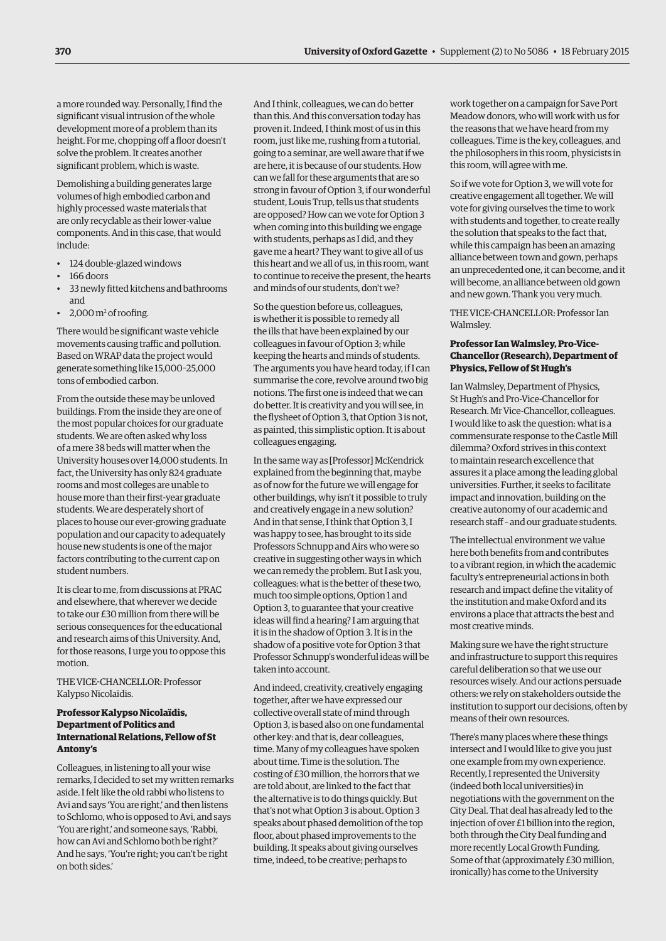a more rounded way. Personally, I find the significant visual intrusion of the whole development more of a problem than its height. For me, chopping off a floor doesn't solve the problem. It creates another significant problem, which is waste.

Demolishing a building generates large volumes of high embodied carbon and highly processed waste materials that are only recyclable as their lower-value components. And in this case, that would include:

- 124 double-glazed windows
- 166 doors
- 33 newly fitted kitchens and bathrooms and
- 2,000 m<sup>2</sup> of roofing.

There would be significant waste vehicle movements causing traffic and pollution. Based on WRAP data the project would generate something like 15,000–25,000 tons of embodied carbon.

From the outside these may be unloved buildings. From the inside they are one of the most popular choices for our graduate students. We are often asked why loss of a mere 38 beds will matter when the University houses over 14,000 students. In fact, the University has only 824 graduate rooms and most colleges are unable to house more than their first-year graduate students. We are desperately short of places to house our ever-growing graduate population and our capacity to adequately house new students is one of the major factors contributing to the current cap on student numbers.

It is clear to me, from discussions at PRAC and elsewhere, that wherever we decide to take our £30 million from there will be serious consequences for the educational and research aims of this University. And, for those reasons, I urge you to oppose this motion.

THE VICE-CHANCELLOR: Professor Kalypso Nicolaïdis.

# **Professor Kalypso Nicolaïdis, Department of Politics and International Relations, Fellow of St Antony's**

Colleagues, in listening to all your wise remarks, I decided to set my written remarks aside. I felt like the old rabbi who listens to Avi and says 'You are right,' and then listens to Schlomo, who is opposed to Avi, and says 'You are right,' and someone says, 'Rabbi, how can Avi and Schlomo both be right?' And he says, 'You're right; you can't be right on both sides.'

And I think, colleagues, we can do better than this. And this conversation today has proven it. Indeed, I think most of us in this room, just like me, rushing from a tutorial, going to a seminar, are well aware that if we are here, it is because of our students. How can we fall for these arguments that are so strong in favour of Option 3, if our wonderful student, Louis Trup, tells us that students are opposed? How can we vote for Option 3 when coming into this building we engage with students, perhaps as I did, and they gave me a heart? They want to give all of us this heart and we all of us, in this room, want to continue to receive the present, the hearts and minds of our students, don't we?

So the question before us, colleagues, is whether it is possible to remedy all the ills that have been explained by our colleagues in favour of Option 3; while keeping the hearts and minds of students. The arguments you have heard today, if I can summarise the core, revolve around two big notions. The first one is indeed that we can do better. It is creativity and you will see, in the flysheet of Option 3, that Option 3 is not, as painted, this simplistic option. It is about colleagues engaging.

In the same way as [Professor] McKendrick explained from the beginning that, maybe as of now for the future we will engage for other buildings, why isn't it possible to truly and creatively engage in a new solution? And in that sense, I think that Option 3, I was happy to see, has brought to its side Professors Schnupp and Airs who were so creative in suggesting other ways in which we can remedy the problem. But I ask you, colleagues: what is the better of these two, much too simple options, Option 1 and Option 3, to guarantee that your creative ideas will find a hearing? I am arguing that it is in the shadow of Option 3. It is in the shadow of a positive vote for Option 3 that Professor Schnupp's wonderful ideas will be taken into account.

And indeed, creativity, creatively engaging together, after we have expressed our collective overall state of mind through Option 3, is based also on one fundamental other key: and that is, dear colleagues, time. Many of my colleagues have spoken about time. Time is the solution. The costing of £30 million, the horrors that we are told about, are linked to the fact that the alternative is to do things quickly. But that's not what Option 3 is about. Option 3 speaks about phased demolition of the top floor, about phased improvements to the building. It speaks about giving ourselves time, indeed, to be creative; perhaps to

work together on a campaign for Save Port Meadow donors, who will work with us for the reasons that we have heard from my colleagues. Time is the key, colleagues, and the philosophers in this room, physicists in this room, will agree with me.

So if we vote for Option 3, we will vote for creative engagement all together. We will vote for giving ourselves the time to work with students and together, to create really the solution that speaks to the fact that, while this campaign has been an amazing alliance between town and gown, perhaps an unprecedented one, it can become, and it will become, an alliance between old gown and new gown. Thank you very much.

THE VICE-CHANCELLOR: Professor Ian Walmsley.

#### **Professor Ian Walmsley, Pro-Vice-Chancellor (Research), Department of Physics, Fellow of St Hugh's**

Ian Walmsley, Department of Physics, St Hugh's and Pro-Vice-Chancellor for Research. Mr Vice-Chancellor, colleagues. I would like to ask the question: what is a commensurate response to the Castle Mill dilemma? Oxford strives in this context to maintain research excellence that assures it a place among the leading global universities. Further, it seeks to facilitate impact and innovation, building on the creative autonomy of our academic and research staff – and our graduate students.

The intellectual environment we value here both benefits from and contributes to a vibrant region, in which the academic faculty's entrepreneurial actions in both research and impact define the vitality of the institution and make Oxford and its environs a place that attracts the best and most creative minds.

Making sure we have the right structure and infrastructure to support this requires careful deliberation so that we use our resources wisely. And our actions persuade others: we rely on stakeholders outside the institution to support our decisions, often by means of their own resources.

There's many places where these things intersect and I would like to give you just one example from my own experience. Recently, I represented the University (indeed both local universities) in negotiations with the government on the City Deal. That deal has already led to the injection of over £1 billion into the region, both through the City Deal funding and more recently Local Growth Funding. Some of that (approximately £30 million, ironically) has come to the University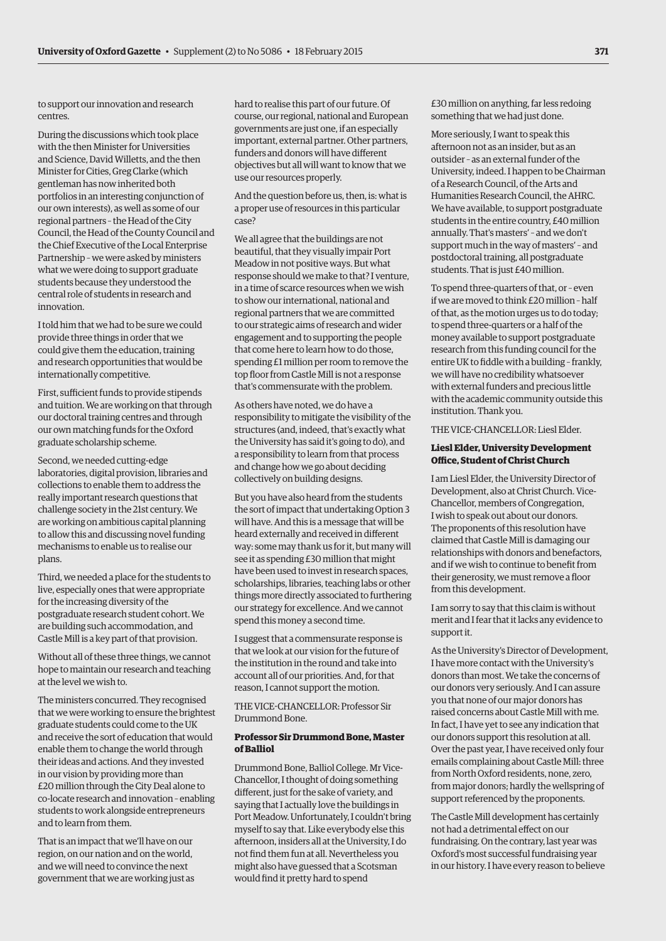to support our innovation and research centres.

During the discussions which took place with the then Minister for Universities and Science, David Willetts, and the then Minister for Cities, Greg Clarke (which gentleman has now inherited both portfolios in an interesting conjunction of our own interests), as well as some of our regional partners – the Head of the City Council, the Head of the County Council and the Chief Executive of the Local Enterprise Partnership – we were asked by ministers what we were doing to support graduate students because they understood the central role of students in research and innovation.

I told him that we had to be sure we could provide three things in order that we could give them the education, training and research opportunities that would be internationally competitive.

First, sufficient funds to provide stipends and tuition. We are working on that through our doctoral training centres and through our own matching funds for the Oxford graduate scholarship scheme.

Second, we needed cutting-edge laboratories, digital provision, libraries and collections to enable them to address the really important research questions that challenge society in the 21st century. We are working on ambitious capital planning to allow this and discussing novel funding mechanisms to enable us to realise our plans.

Third, we needed a place for the students to live, especially ones that were appropriate for the increasing diversity of the postgraduate research student cohort. We are building such accommodation, and Castle Mill is a key part of that provision.

Without all of these three things, we cannot hope to maintain our research and teaching at the level we wish to.

The ministers concurred. They recognised that we were working to ensure the brightest graduate students could come to the UK and receive the sort of education that would enable them to change the world through their ideas and actions. And they invested in our vision by providing more than £20 million through the City Deal alone to co-locate research and innovation – enabling students to work alongside entrepreneurs and to learn from them.

That is an impact that we'll have on our region, on our nation and on the world, and we will need to convince the next government that we are working just as hard to realise this part of our future. Of course, our regional, national and European governments are just one, if an especially important, external partner. Other partners, funders and donors will have different objectives but all will want to know that we use our resources properly.

And the question before us, then, is: what is a proper use of resources in this particular case?

We all agree that the buildings are not beautiful, that they visually impair Port Meadow in not positive ways. But what response should we make to that? I venture, in a time of scarce resources when we wish to show our international, national and regional partners that we are committed to our strategic aims of research and wider engagement and to supporting the people that come here to learn how to do those, spending £1 million per room to remove the top floor from Castle Mill is not a response that's commensurate with the problem.

As others have noted, we do have a responsibility to mitigate the visibility of the structures (and, indeed, that's exactly what the University has said it's going to do), and a responsibility to learn from that process and change how we go about deciding collectively on building designs.

But you have also heard from the students the sort of impact that undertaking Option 3 will have. And this is a message that will be heard externally and received in different way: some may thank us for it, but many will see it as spending £30 million that might have been used to invest in research spaces, scholarships, libraries, teaching labs or other things more directly associated to furthering our strategy for excellence. And we cannot spend this money a second time.

I suggest that a commensurate response is that we look at our vision for the future of the institution in the round and take into account all of our priorities. And, for that reason, I cannot support the motion.

THE VICE-CHANCELLOR: Professor Sir Drummond Bone.

#### **Professor Sir Drummond Bone, Master of Balliol**

Drummond Bone, Balliol College. Mr Vice-Chancellor, I thought of doing something different, just for the sake of variety, and saying that I actually love the buildings in Port Meadow. Unfortunately, I couldn't bring myself to say that. Like everybody else this afternoon, insiders all at the University, I do not find them fun at all. Nevertheless you might also have guessed that a Scotsman would find it pretty hard to spend

£30 million on anything, far less redoing something that we had just done.

More seriously, I want to speak this afternoon not as an insider, but as an outsider – as an external funder of the University, indeed. I happen to be Chairman of a Research Council, of the Arts and Humanities Research Council, the AHRC. We have available, to support postgraduate students in the entire country, £40 million annually. That's masters' – and we don't support much in the way of masters' – and postdoctoral training, all postgraduate students. That is just £40 million.

To spend three-quarters of that, or – even if we are moved to think £20 million – half of that, as the motion urges us to do today; to spend three-quarters or a half of the money available to support postgraduate research from this funding council for the entire UK to fiddle with a building – frankly, we will have no credibility whatsoever with external funders and precious little with the academic community outside this institution. Thank you.

THE VICE-CHANCELLOR: Liesl Elder.

#### **Liesl Elder, University Development Office, Student of Christ Church**

I am Liesl Elder, the University Director of Development, also at Christ Church. Vice-Chancellor, members of Congregation, I wish to speak out about our donors. The proponents of this resolution have claimed that Castle Mill is damaging our relationships with donors and benefactors, and if we wish to continue to benefit from their generosity, we must remove a floor from this development.

I am sorry to say that this claim is without merit and I fear that it lacks any evidence to support it.

As the University's Director of Development, I have more contact with the University's donors than most. We take the concerns of our donors very seriously. And I can assure you that none of our major donors has raised concerns about Castle Mill with me. In fact, I have yet to see any indication that our donors support this resolution at all. Over the past year, I have received only four emails complaining about Castle Mill: three from North Oxford residents, none, zero, from major donors; hardly the wellspring of support referenced by the proponents.

The Castle Mill development has certainly not had a detrimental effect on our fundraising. On the contrary, last year was Oxford's most successful fundraising year in our history. I have every reason to believe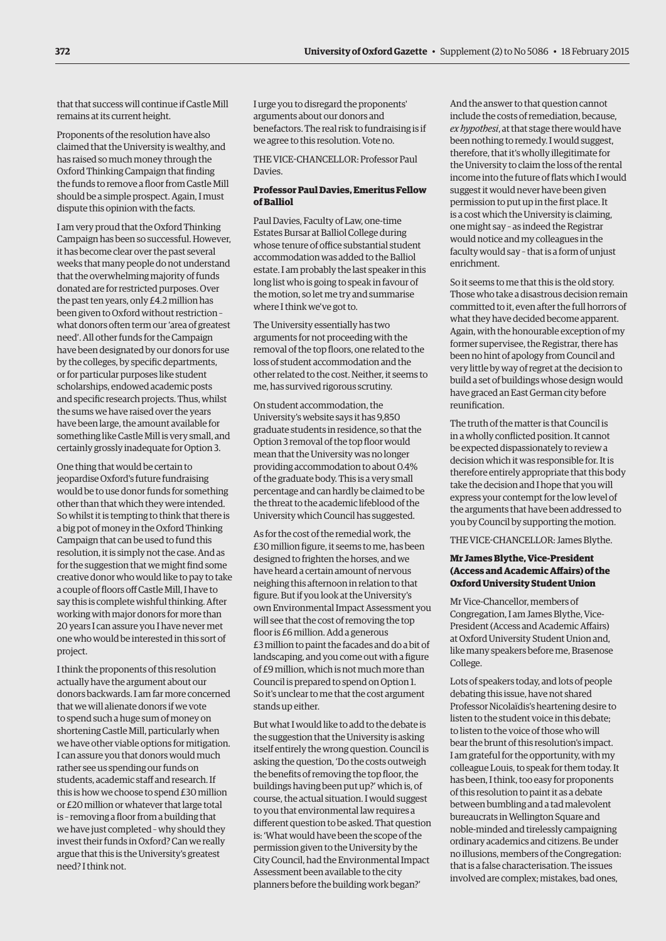that that success will continue if Castle Mill remains at its current height.

Proponents of the resolution have also claimed that the University is wealthy, and has raised so much money through the Oxford Thinking Campaign that finding the funds to remove a floor from Castle Mill should be a simple prospect. Again, I must dispute this opinion with the facts.

I am very proud that the Oxford Thinking Campaign has been so successful. However, it has become clear over the past several weeks that many people do not understand that the overwhelming majority of funds donated are for restricted purposes. Over the past ten years, only £4.2 million has been given to Oxford without restriction – what donors often term our 'area of greatest need'. All other funds for the Campaign have been designated by our donors for use by the colleges, by specific departments, or for particular purposes like student scholarships, endowed academic posts and specific research projects. Thus, whilst the sums we have raised over the years have been large, the amount available for something like Castle Mill is very small, and certainly grossly inadequate for Option 3.

One thing that would be certain to jeopardise Oxford's future fundraising would be to use donor funds for something other than that which they were intended. So whilst it is tempting to think that there is a big pot of money in the Oxford Thinking Campaign that can be used to fund this resolution, it is simply not the case. And as for the suggestion that we might find some creative donor who would like to pay to take a couple of floors off Castle Mill, I have to say this is complete wishful thinking. After working with major donors for more than 20 years I can assure you I have never met one who would be interested in this sort of project.

I think the proponents of this resolution actually have the argument about our donors backwards. I am far more concerned that we will alienate donors if we vote to spend such a huge sum of money on shortening Castle Mill, particularly when we have other viable options for mitigation. I can assure you that donors would much rather see us spending our funds on students, academic staff and research. If this is how we choose to spend £30 million or £20 million or whatever that large total is – removing a floor from a building that we have just completed – why should they invest their funds in Oxford? Can we really argue that this is the University's greatest need? I think not.

I urge you to disregard the proponents' arguments about our donors and benefactors. The real risk to fundraising is if we agree to this resolution. Vote no.

THE VICE-CHANCELLOR: Professor Paul Davies.

# **Professor Paul Davies, Emeritus Fellow of Balliol**

Paul Davies, Faculty of Law, one-time Estates Bursar at Balliol College during whose tenure of office substantial student accommodation was added to the Balliol estate. I am probably the last speaker in this long list who is going to speak in favour of the motion, so let me try and summarise where I think we've got to.

The University essentially has two arguments for not proceeding with the removal of the top floors, one related to the loss of student accommodation and the other related to the cost. Neither, it seems to me, has survived rigorous scrutiny.

On student accommodation, the University's website says it has 9,850 graduate students in residence, so that the Option 3 removal of the top floor would mean that the University was no longer providing accommodation to about 0.4% of the graduate body. This is a very small percentage and can hardly be claimed to be the threat to the academic lifeblood of the University which Council has suggested.

As for the cost of the remedial work, the £30 million figure, it seems to me, has been designed to frighten the horses, and we have heard a certain amount of nervous neighing this afternoon in relation to that figure. But if you look at the University's own Environmental Impact Assessment you will see that the cost of removing the top floor is £6 million. Add a generous £3 million to paint the facades and do a bit of landscaping, and you come out with a figure of £9 million, which is not much more than Council is prepared to spend on Option 1. So it's unclear to me that the cost argument stands up either.

But what I would like to add to the debate is the suggestion that the University is asking itself entirely the wrong question. Council is asking the question, 'Do the costs outweigh the benefits of removing the top floor, the buildings having been put up?' which is, of course, the actual situation. I would suggest to you that environmental law requires a different question to be asked. That question is: 'What would have been the scope of the permission given to the University by the City Council, had the Environmental Impact Assessment been available to the city planners before the building work began?'

And the answer to that question cannot include the costs of remediation, because, *ex hypothesi*, at that stage there would have been nothing to remedy. I would suggest, therefore, that it's wholly illegitimate for the University to claim the loss of the rental income into the future of flats which I would suggest it would never have been given permission to put up in the first place. It is a cost which the University is claiming, one might say – as indeed the Registrar would notice and my colleagues in the faculty would say – that is a form of unjust enrichment.

So it seems to me that this is the old story. Those who take a disastrous decision remain committed to it, even after the full horrors of what they have decided become apparent. Again, with the honourable exception of my former supervisee, the Registrar, there has been no hint of apology from Council and very little by way of regret at the decision to build a set of buildings whose design would have graced an East German city before reunification.

The truth of the matter is that Council is in a wholly conflicted position. It cannot be expected dispassionately to review a decision which it was responsible for. It is therefore entirely appropriate that this body take the decision and I hope that you will express your contempt for the low level of the arguments that have been addressed to you by Council by supporting the motion.

THE VICE-CHANCELLOR: James Blythe.

#### **Mr James Blythe, Vice-President (Access and Academic Affairs) of the Oxford University Student Union**

Mr Vice-Chancellor, members of Congregation, I am James Blythe, Vice-President (Access and Academic Affairs) at Oxford University Student Union and, like many speakers before me, Brasenose College.

Lots of speakers today, and lots of people debating this issue, have not shared Professor Nicolaïdis's heartening desire to listen to the student voice in this debate; to listen to the voice of those who will bear the brunt of this resolution's impact. I am grateful for the opportunity, with my colleague Louis, to speak for them today. It has been, I think, too easy for proponents of this resolution to paint it as a debate between bumbling and a tad malevolent bureaucrats in Wellington Square and noble-minded and tirelessly campaigning ordinary academics and citizens. Be under no illusions, members of the Congregation: that is a false characterisation. The issues involved are complex; mistakes, bad ones,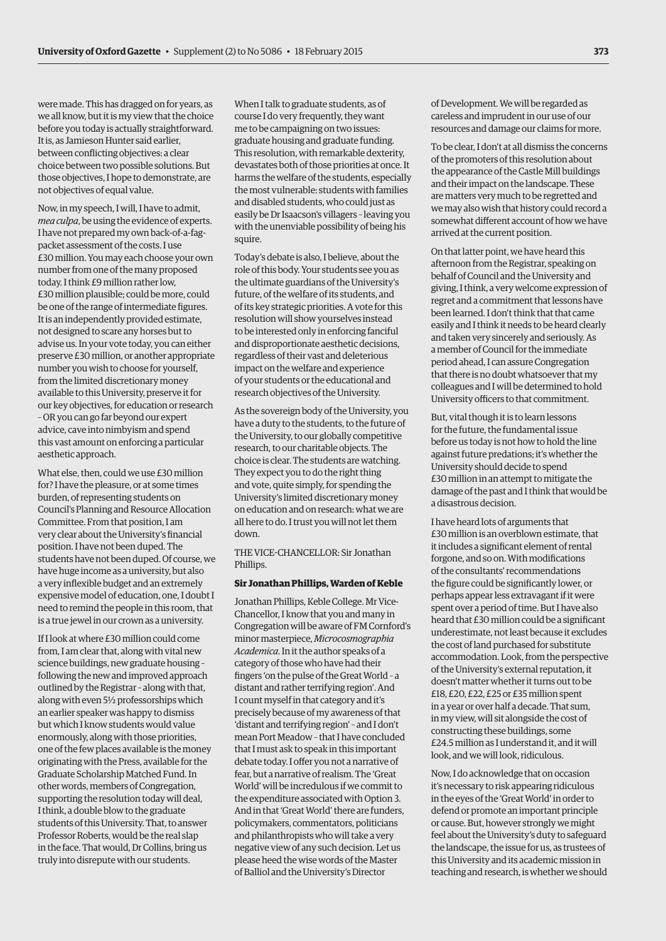were made. This has dragged on for years, as we all know, but it is my view that the choice before you today is actually straightforward. It is, as Jamieson Hunter said earlier, between conflicting objectives: a clear choice between two possible solutions. But those objectives, I hope to demonstrate, are not objectives of equal value.

Now, in my speech, I will, I have to admit, *mea culpa*, be using the evidence of experts. I have not prepared my own back-of-a-fagpacket assessment of the costs. I use £30 million. You may each choose your own number from one of the many proposed today. I think £9 million rather low, £30 million plausible; could be more, could be one of the range of intermediate figures. It is an independently provided estimate, not designed to scare any horses but to advise us. In your vote today, you can either preserve £30 million, or another appropriate number you wish to choose for yourself, from the limited discretionary money available to this University, preserve it for our key objectives, for education or research – OR you can go far beyond our expert advice, cave into nimbyism and spend this vast amount on enforcing a particular aesthetic approach.

What else, then, could we use £30 million for? I have the pleasure, or at some times burden, of representing students on Council's Planning and Resource Allocation Committee. From that position, I am very clear about the University's financial position. I have not been duped. The students have not been duped. Of course, we have huge income as a university, but also a very inflexible budget and an extremely expensive model of education, one, I doubt I need to remind the people in this room, that is a true jewel in our crown as a university.

If I look at where £30 million could come from, I am clear that, along with vital new science buildings, new graduate housing – following the new and improved approach outlined by the Registrar – along with that, along with even 5½ professorships which an earlier speaker was happy to dismiss but which I know students would value enormously, along with those priorities, one of the few places available is the money originating with the Press, available for the Graduate Scholarship Matched Fund. In other words, members of Congregation, supporting the resolution today will deal, I think, a double blow to the graduate students of this University. That, to answer Professor Roberts, would be the real slap in the face. That would, Dr Collins, bring us truly into disrepute with our students.

When I talk to graduate students, as of course I do very frequently, they want me to be campaigning on two issues: graduate housing and graduate funding. This resolution, with remarkable dexterity, devastates both of those priorities at once. It harms the welfare of the students, especially the most vulnerable: students with families and disabled students, who could just as easily be Dr Isaacson's villagers – leaving you with the unenviable possibility of being his squire.

Today's debate is also, I believe, about the role of this body. Your students see you as the ultimate guardians of the University's future, of the welfare of its students, and of its key strategic priorities. A vote for this resolution will show yourselves instead to be interested only in enforcing fanciful and disproportionate aesthetic decisions, regardless of their vast and deleterious impact on the welfare and experience of your students or the educational and research objectives of the University.

As the sovereign body of the University, you have a duty to the students, to the future of the University, to our globally competitive research, to our charitable objects. The choice is clear. The students are watching. They expect you to do the right thing and vote, quite simply, for spending the University's limited discretionary money on education and on research: what we are all here to do. I trust you will not let them down.

THE VICE-CHANCELLOR: Sir Jonathan Phillips.

#### **Sir Jonathan Phillips, Warden of Keble**

Jonathan Phillips, Keble College. Mr Vice-Chancellor, I know that you and many in Congregation will be aware of FM Cornford's minor masterpiece, *Microcosmographia Academica*. In it the author speaks of a category of those who have had their fingers 'on the pulse of the Great World – a distant and rather terrifying region'. And I count myself in that category and it's precisely because of my awareness of that 'distant and terrifying region' – and I don't mean Port Meadow – that I have concluded that I must ask to speak in this important debate today. I offer you not a narrative of fear, but a narrative of realism. The 'Great World' will be incredulous if we commit to the expenditure associated with Option 3. And in that 'Great World' there are funders, policymakers, commentators, politicians and philanthropists who will take a very negative view of any such decision. Let us please heed the wise words of the Master of Balliol and the University's Director

of Development. We will be regarded as careless and imprudent in our use of our resources and damage our claims for more.

To be clear, I don't at all dismiss the concerns of the promoters of this resolution about the appearance of the Castle Mill buildings and their impact on the landscape. These are matters very much to be regretted and we may also wish that history could record a somewhat different account of how we have arrived at the current position.

On that latter point, we have heard this afternoon from the Registrar, speaking on behalf of Council and the University and giving, I think, a very welcome expression of regret and a commitment that lessons have been learned. I don't think that that came easily and I think it needs to be heard clearly and taken very sincerely and seriously. As a member of Council for the immediate period ahead, I can assure Congregation that there is no doubt whatsoever that my colleagues and I will be determined to hold University officers to that commitment.

But, vital though it is to learn lessons for the future, the fundamental issue before us today is not how to hold the line against future predations; it's whether the University should decide to spend £30 million in an attempt to mitigate the damage of the past and I think that would be a disastrous decision.

I have heard lots of arguments that £30 million is an overblown estimate, that it includes a significant element of rental forgone, and so on. With modifications of the consultants' recommendations the figure could be significantly lower, or perhaps appear less extravagant if it were spent over a period of time. But I have also heard that £30 million could be a significant underestimate, not least because it excludes the cost of land purchased for substitute accommodation. Look, from the perspective of the University's external reputation, it doesn't matter whether it turns out to be £18, £20, £22, £25 or £35 million spent in a year or over half a decade. That sum, in my view, will sit alongside the cost of constructing these buildings, some £24.5 million as I understand it, and it will look, and we will look, ridiculous.

Now, I do acknowledge that on occasion it's necessary to risk appearing ridiculous in the eyes of the 'Great World' in order to defend or promote an important principle or cause. But, however strongly we might feel about the University's duty to safeguard the landscape, the issue for us, as trustees of this University and its academic mission in teaching and research, is whether we should